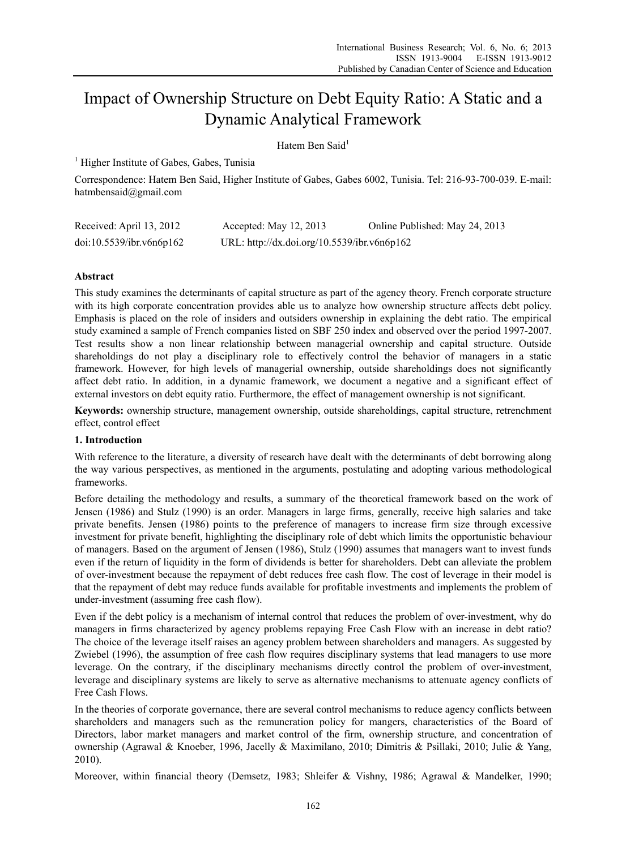# Impact of Ownership Structure on Debt Equity Ratio: A Static and a Dynamic Analytical Framework

Hatem Ben Said<sup>1</sup>

<sup>1</sup> Higher Institute of Gabes, Gabes, Tunisia

Correspondence: Hatem Ben Said, Higher Institute of Gabes, Gabes 6002, Tunisia. Tel: 216-93-700-039. E-mail: hatmbensaid@gmail.com

| Received: April 13, 2012 | Accepted: May $12, 2013$                    | Online Published: May 24, 2013 |
|--------------------------|---------------------------------------------|--------------------------------|
| doi:10.5539/ibr.v6n6p162 | URL: http://dx.doi.org/10.5539/ibr.v6n6p162 |                                |

# **Abstract**

This study examines the determinants of capital structure as part of the agency theory. French corporate structure with its high corporate concentration provides able us to analyze how ownership structure affects debt policy. Emphasis is placed on the role of insiders and outsiders ownership in explaining the debt ratio. The empirical study examined a sample of French companies listed on SBF 250 index and observed over the period 1997-2007. Test results show a non linear relationship between managerial ownership and capital structure. Outside shareholdings do not play a disciplinary role to effectively control the behavior of managers in a static framework. However, for high levels of managerial ownership, outside shareholdings does not significantly affect debt ratio. In addition, in a dynamic framework, we document a negative and a significant effect of external investors on debt equity ratio. Furthermore, the effect of management ownership is not significant.

**Keywords:** ownership structure, management ownership, outside shareholdings, capital structure, retrenchment effect, control effect

# **1. Introduction**

With reference to the literature, a diversity of research have dealt with the determinants of debt borrowing along the way various perspectives, as mentioned in the arguments, postulating and adopting various methodological frameworks.

Before detailing the methodology and results, a summary of the theoretical framework based on the work of Jensen (1986) and Stulz (1990) is an order. Managers in large firms, generally, receive high salaries and take private benefits. Jensen (1986) points to the preference of managers to increase firm size through excessive investment for private benefit, highlighting the disciplinary role of debt which limits the opportunistic behaviour of managers. Based on the argument of Jensen (1986), Stulz (1990) assumes that managers want to invest funds even if the return of liquidity in the form of dividends is better for shareholders. Debt can alleviate the problem of over-investment because the repayment of debt reduces free cash flow. The cost of leverage in their model is that the repayment of debt may reduce funds available for profitable investments and implements the problem of under-investment (assuming free cash flow).

Even if the debt policy is a mechanism of internal control that reduces the problem of over-investment, why do managers in firms characterized by agency problems repaying Free Cash Flow with an increase in debt ratio? The choice of the leverage itself raises an agency problem between shareholders and managers. As suggested by Zwiebel (1996), the assumption of free cash flow requires disciplinary systems that lead managers to use more leverage. On the contrary, if the disciplinary mechanisms directly control the problem of over-investment, leverage and disciplinary systems are likely to serve as alternative mechanisms to attenuate agency conflicts of Free Cash Flows.

In the theories of corporate governance, there are several control mechanisms to reduce agency conflicts between shareholders and managers such as the remuneration policy for mangers, characteristics of the Board of Directors, labor market managers and market control of the firm, ownership structure, and concentration of ownership (Agrawal & Knoeber, 1996, Jacelly & Maximilano, 2010; Dimitris & Psillaki, 2010; Julie & Yang, 2010).

Moreover, within financial theory (Demsetz, 1983; Shleifer & Vishny, 1986; Agrawal & Mandelker, 1990;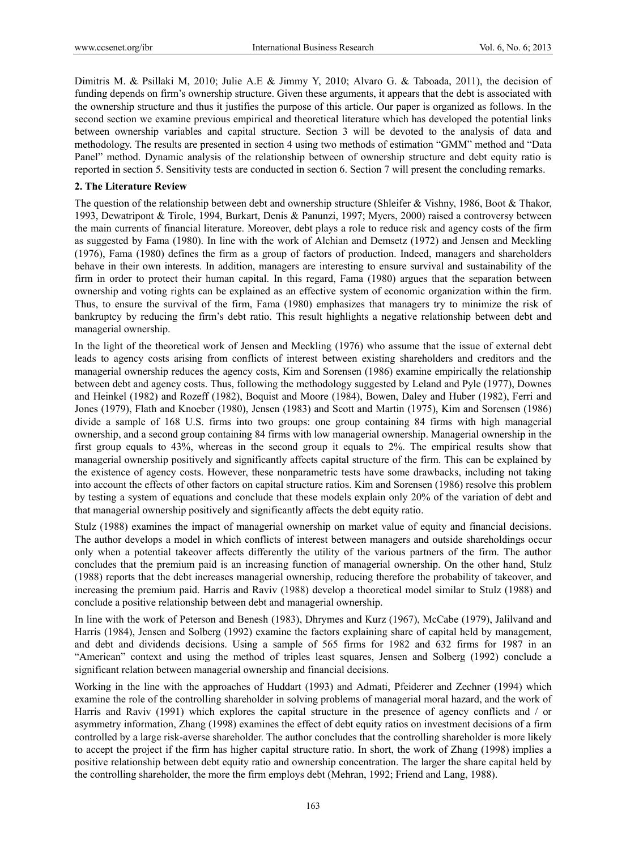Dimitris M. & Psillaki M, 2010; Julie A.E & Jimmy Y, 2010; Alvaro G. & Taboada, 2011), the decision of funding depends on firm's ownership structure. Given these arguments, it appears that the debt is associated with the ownership structure and thus it justifies the purpose of this article. Our paper is organized as follows. In the second section we examine previous empirical and theoretical literature which has developed the potential links between ownership variables and capital structure. Section 3 will be devoted to the analysis of data and methodology. The results are presented in section 4 using two methods of estimation "GMM" method and "Data Panel" method. Dynamic analysis of the relationship between of ownership structure and debt equity ratio is reported in section 5. Sensitivity tests are conducted in section 6. Section 7 will present the concluding remarks.

## **2. The Literature Review**

The question of the relationship between debt and ownership structure (Shleifer & Vishny, 1986, Boot & Thakor, 1993, Dewatripont & Tirole, 1994, Burkart, Denis & Panunzi, 1997; Myers, 2000) raised a controversy between the main currents of financial literature. Moreover, debt plays a role to reduce risk and agency costs of the firm as suggested by Fama (1980). In line with the work of Alchian and Demsetz (1972) and Jensen and Meckling (1976), Fama (1980) defines the firm as a group of factors of production. Indeed, managers and shareholders behave in their own interests. In addition, managers are interesting to ensure survival and sustainability of the firm in order to protect their human capital. In this regard, Fama (1980) argues that the separation between ownership and voting rights can be explained as an effective system of economic organization within the firm. Thus, to ensure the survival of the firm, Fama (1980) emphasizes that managers try to minimize the risk of bankruptcy by reducing the firm's debt ratio. This result highlights a negative relationship between debt and managerial ownership.

In the light of the theoretical work of Jensen and Meckling (1976) who assume that the issue of external debt leads to agency costs arising from conflicts of interest between existing shareholders and creditors and the managerial ownership reduces the agency costs, Kim and Sorensen (1986) examine empirically the relationship between debt and agency costs. Thus, following the methodology suggested by Leland and Pyle (1977), Downes and Heinkel (1982) and Rozeff (1982), Boquist and Moore (1984), Bowen, Daley and Huber (1982), Ferri and Jones (1979), Flath and Knoeber (1980), Jensen (1983) and Scott and Martin (1975), Kim and Sorensen (1986) divide a sample of 168 U.S. firms into two groups: one group containing 84 firms with high managerial ownership, and a second group containing 84 firms with low managerial ownership. Managerial ownership in the first group equals to 43%, whereas in the second group it equals to 2%. The empirical results show that managerial ownership positively and significantly affects capital structure of the firm. This can be explained by the existence of agency costs. However, these nonparametric tests have some drawbacks, including not taking into account the effects of other factors on capital structure ratios. Kim and Sorensen (1986) resolve this problem by testing a system of equations and conclude that these models explain only 20% of the variation of debt and that managerial ownership positively and significantly affects the debt equity ratio.

Stulz (1988) examines the impact of managerial ownership on market value of equity and financial decisions. The author develops a model in which conflicts of interest between managers and outside shareholdings occur only when a potential takeover affects differently the utility of the various partners of the firm. The author concludes that the premium paid is an increasing function of managerial ownership. On the other hand, Stulz (1988) reports that the debt increases managerial ownership, reducing therefore the probability of takeover, and increasing the premium paid. Harris and Raviv (1988) develop a theoretical model similar to Stulz (1988) and conclude a positive relationship between debt and managerial ownership.

In line with the work of Peterson and Benesh (1983), Dhrymes and Kurz (1967), McCabe (1979), Jalilvand and Harris (1984), Jensen and Solberg (1992) examine the factors explaining share of capital held by management, and debt and dividends decisions. Using a sample of 565 firms for 1982 and 632 firms for 1987 in an "American" context and using the method of triples least squares, Jensen and Solberg (1992) conclude a significant relation between managerial ownership and financial decisions.

Working in the line with the approaches of Huddart (1993) and Admati, Pfeiderer and Zechner (1994) which examine the role of the controlling shareholder in solving problems of managerial moral hazard, and the work of Harris and Raviv (1991) which explores the capital structure in the presence of agency conflicts and / or asymmetry information, Zhang (1998) examines the effect of debt equity ratios on investment decisions of a firm controlled by a large risk-averse shareholder. The author concludes that the controlling shareholder is more likely to accept the project if the firm has higher capital structure ratio. In short, the work of Zhang (1998) implies a positive relationship between debt equity ratio and ownership concentration. The larger the share capital held by the controlling shareholder, the more the firm employs debt (Mehran, 1992; Friend and Lang, 1988).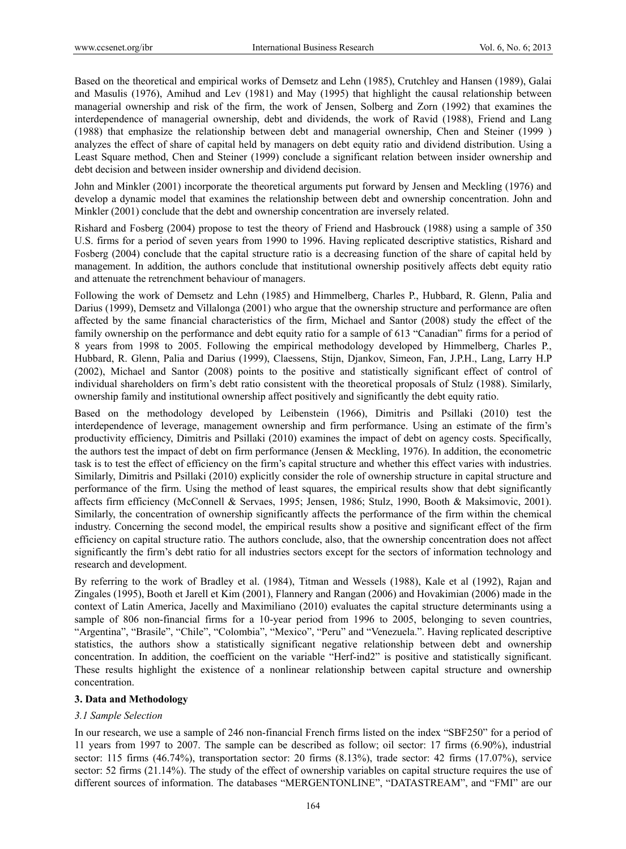Based on the theoretical and empirical works of Demsetz and Lehn (1985), Crutchley and Hansen (1989), Galai and Masulis (1976), Amihud and Lev (1981) and May (1995) that highlight the causal relationship between managerial ownership and risk of the firm, the work of Jensen, Solberg and Zorn (1992) that examines the interdependence of managerial ownership, debt and dividends, the work of Ravid (1988), Friend and Lang (1988) that emphasize the relationship between debt and managerial ownership, Chen and Steiner (1999 ) analyzes the effect of share of capital held by managers on debt equity ratio and dividend distribution. Using a Least Square method, Chen and Steiner (1999) conclude a significant relation between insider ownership and debt decision and between insider ownership and dividend decision.

John and Minkler (2001) incorporate the theoretical arguments put forward by Jensen and Meckling (1976) and develop a dynamic model that examines the relationship between debt and ownership concentration. John and Minkler (2001) conclude that the debt and ownership concentration are inversely related.

Rishard and Fosberg (2004) propose to test the theory of Friend and Hasbrouck (1988) using a sample of 350 U.S. firms for a period of seven years from 1990 to 1996. Having replicated descriptive statistics, Rishard and Fosberg (2004) conclude that the capital structure ratio is a decreasing function of the share of capital held by management. In addition, the authors conclude that institutional ownership positively affects debt equity ratio and attenuate the retrenchment behaviour of managers.

Following the work of Demsetz and Lehn (1985) and Himmelberg, Charles P., Hubbard, R. Glenn, Palia and Darius (1999), Demsetz and Villalonga (2001) who argue that the ownership structure and performance are often affected by the same financial characteristics of the firm, Michael and Santor (2008) study the effect of the family ownership on the performance and debt equity ratio for a sample of 613 "Canadian" firms for a period of 8 years from 1998 to 2005. Following the empirical methodology developed by Himmelberg, Charles P., Hubbard, R. Glenn, Palia and Darius (1999), Claessens, Stijn, Djankov, Simeon, Fan, J.P.H., Lang, Larry H.P (2002), Michael and Santor (2008) points to the positive and statistically significant effect of control of individual shareholders on firm's debt ratio consistent with the theoretical proposals of Stulz (1988). Similarly, ownership family and institutional ownership affect positively and significantly the debt equity ratio.

Based on the methodology developed by Leibenstein (1966), Dimitris and Psillaki (2010) test the interdependence of leverage, management ownership and firm performance. Using an estimate of the firm's productivity efficiency, Dimitris and Psillaki (2010) examines the impact of debt on agency costs. Specifically, the authors test the impact of debt on firm performance (Jensen & Meckling, 1976). In addition, the econometric task is to test the effect of efficiency on the firm's capital structure and whether this effect varies with industries. Similarly, Dimitris and Psillaki (2010) explicitly consider the role of ownership structure in capital structure and performance of the firm. Using the method of least squares, the empirical results show that debt significantly affects firm efficiency (McConnell & Servaes, 1995; Jensen, 1986; Stulz, 1990, Booth & Maksimovic, 2001). Similarly, the concentration of ownership significantly affects the performance of the firm within the chemical industry. Concerning the second model, the empirical results show a positive and significant effect of the firm efficiency on capital structure ratio. The authors conclude, also, that the ownership concentration does not affect significantly the firm's debt ratio for all industries sectors except for the sectors of information technology and research and development.

By referring to the work of Bradley et al. (1984), Titman and Wessels (1988), Kale et al (1992), Rajan and Zingales (1995), Booth et Jarell et Kim (2001), Flannery and Rangan (2006) and Hovakimian (2006) made in the context of Latin America, Jacelly and Maximiliano (2010) evaluates the capital structure determinants using a sample of 806 non-financial firms for a 10-year period from 1996 to 2005, belonging to seven countries, "Argentina", "Brasile", "Chile", "Colombia", "Mexico", "Peru" and "Venezuela.". Having replicated descriptive statistics, the authors show a statistically significant negative relationship between debt and ownership concentration. In addition, the coefficient on the variable "Herf-ind2" is positive and statistically significant. These results highlight the existence of a nonlinear relationship between capital structure and ownership concentration.

# **3. Data and Methodology**

# *3.1 Sample Selection*

In our research, we use a sample of 246 non-financial French firms listed on the index "SBF250" for a period of 11 years from 1997 to 2007. The sample can be described as follow; oil sector: 17 firms (6.90%), industrial sector: 115 firms (46.74%), transportation sector: 20 firms (8.13%), trade sector: 42 firms (17.07%), service sector: 52 firms (21.14%). The study of the effect of ownership variables on capital structure requires the use of different sources of information. The databases "MERGENTONLINE", "DATASTREAM", and "FMI" are our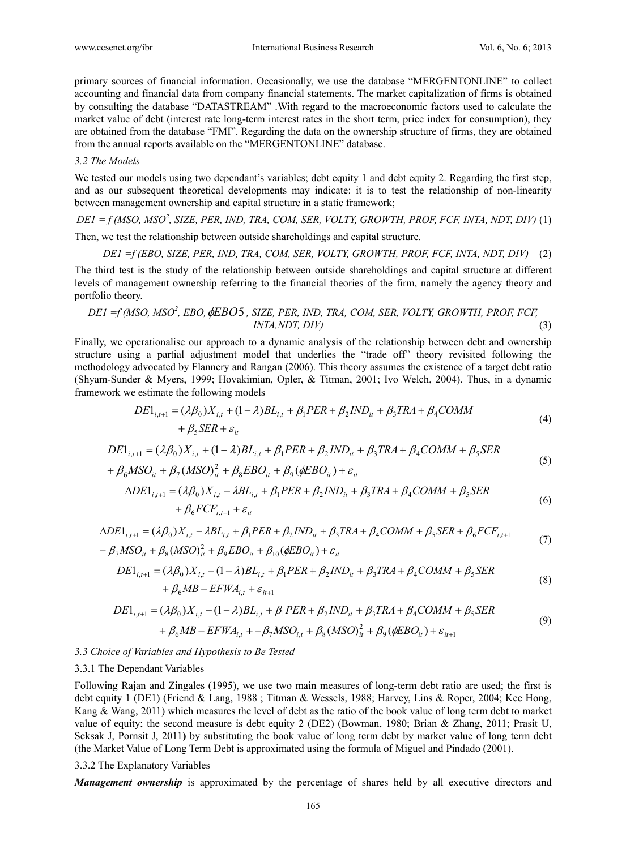primary sources of financial information. Occasionally, we use the database "MERGENTONLINE" to collect accounting and financial data from company financial statements. The market capitalization of firms is obtained by consulting the database "DATASTREAM" .With regard to the macroeconomic factors used to calculate the market value of debt (interest rate long-term interest rates in the short term, price index for consumption), they are obtained from the database "FMI". Regarding the data on the ownership structure of firms, they are obtained from the annual reports available on the "MERGENTONLINE" database.

#### *3.2 The Models*

We tested our models using two dependant's variables; debt equity 1 and debt equity 2. Regarding the first step, and as our subsequent theoretical developments may indicate: it is to test the relationship of non-linearity between management ownership and capital structure in a static framework;

*DE1 = f (MSO, MSO<sup>2</sup> , SIZE, PER, IND, TRA, COM, SER, VOLTY, GROWTH, PROF, FCF, INTA, NDT, DIV)* (1)

Then, we test the relationship between outside shareholdings and capital structure.

*DE1 =f (EBO, SIZE, PER, IND, TRA, COM, SER, VOLTY, GROWTH, PROF, FCF, INTA, NDT, DIV)* (2)

The third test is the study of the relationship between outside shareholdings and capital structure at different levels of management ownership referring to the financial theories of the firm, namely the agency theory and portfolio theory.

DE1 =f (MSO, MSO<sup>2</sup>, EBO, 
$$
\phi
$$
EBO5, SIZE, PER, IND, TRA, COM, SER, VOLTY, GROWTH, PROF, FCF, *INTA, NDT, DIV*) (3)

Finally, we operationalise our approach to a dynamic analysis of the relationship between debt and ownership structure using a partial adjustment model that underlies the "trade off" theory revisited following the methodology advocated by Flannery and Rangan (2006). This theory assumes the existence of a target debt ratio (Shyam-Sunder & Myers, 1999; Hovakimian, Opler, & Titman, 2001; Ivo Welch, 2004). Thus, in a dynamic framework we estimate the following models

$$
DE1_{i,t+1} = (\lambda \beta_0) X_{i,t} + (1 - \lambda) BL_{i,t} + \beta_1 PER + \beta_2 IND_{it} + \beta_3 TRA + \beta_4 COMM + \beta_5 SER + \varepsilon_{it}
$$
\n(4)

$$
DE1_{i,i+1} = (\lambda \beta_0)X_{i,i} + (1 - \lambda)BL_{i,i} + \beta_1PER + \beta_2IND_{i} + \beta_3TRA + \beta_4COMM + \beta_5 SER
$$
\n(5)

$$
+\beta_6 MSO_{it} + \beta_7 (MSO)_{it}^2 + \beta_8 EBO_{it} + \beta_9 (\phi EBO_{it}) + \varepsilon_{it}
$$

$$
\Delta DE1_{i,t+1} = (\lambda \beta_0)X_{i,t} - \lambda BL_{i,t} + \beta_1 PER + \beta_2 IND_{it} + \beta_3 TRA + \beta_4 COMM + \beta_5 SER
$$
  
+  $\beta_6 FCF_{i,t+1} + \varepsilon_{it}$  (6)

$$
\Delta DE1_{i,t+1} = (\lambda \beta_0) X_{i,t} - \lambda BL_{i,t} + \beta_1 PER + \beta_2 IND_{it} + \beta_3 TRA + \beta_4 COMM + \beta_5 SER + \beta_6 FCF_{i,t+1} + \beta_7 MSO_{it} + \beta_8 (MSO)_{it}^2 + \beta_9 EBO_{it} + \beta_{10} (\phi EBO_{it}) + \varepsilon_{it}
$$
\n(7)

$$
DE1_{i,t+1} = (\lambda \beta_0)X_{i,t} - (1 - \lambda)BL_{i,t} + \beta_1PER + \beta_2IND_{it} + \beta_3TRA + \beta_4COMM + \beta_5 SER + \beta_6 MB - EFWA_{i,t} + \varepsilon_{it+1}
$$
\n(8)

$$
DE1_{i,t+1} = (\lambda \beta_0) X_{i,t} - (1 - \lambda) BL_{i,t} + \beta_1 PER + \beta_2 IND_{it} + \beta_3 TRA + \beta_4 COMM + \beta_5 SER + \beta_6 MB - EFWA_{i,t} + + \beta_7 MSO_{i,t} + \beta_8 (MSO)_{it}^2 + \beta_9 (\phi EBO_{it}) + \varepsilon_{it+1}
$$
\n(9)

### *3.3 Choice of Variables and Hypothesis to Be Tested*

#### 3.3.1 The Dependant Variables

Following Rajan and Zingales (1995), we use two main measures of long-term debt ratio are used; the first is debt equity 1 (DE1) (Friend & Lang, 1988 ; Titman & Wessels, 1988; Harvey, Lins & Roper, 2004; Kee Hong, Kang & Wang, 2011) which measures the level of debt as the ratio of the book value of long term debt to market value of equity; the second measure is debt equity 2 (DE2) (Bowman, 1980; Brian & Zhang, 2011; Prasit U, Seksak J, Pornsit J, 2011**)** by substituting the book value of long term debt by market value of long term debt (the Market Value of Long Term Debt is approximated using the formula of Miguel and Pindado (2001).

#### 3.3.2 The Explanatory Variables

*Management ownership* is approximated by the percentage of shares held by all executive directors and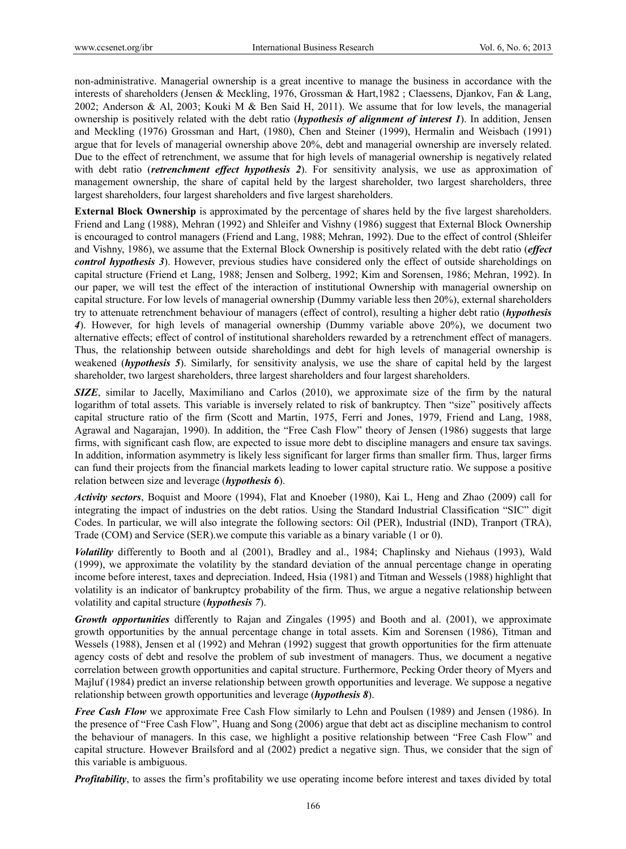non-administrative. Managerial ownership is a great incentive to manage the business in accordance with the interests of shareholders (Jensen & Meckling, 1976, Grossman & Hart,1982 ; Claessens, Djankov, Fan & Lang, 2002; Anderson & Al, 2003; Kouki M & Ben Said H, 2011). We assume that for low levels, the managerial ownership is positively related with the debt ratio (*hypothesis of alignment of interest 1*). In addition, Jensen and Meckling (1976) Grossman and Hart, (1980), Chen and Steiner (1999), Hermalin and Weisbach (1991) argue that for levels of managerial ownership above 20%, debt and managerial ownership are inversely related. Due to the effect of retrenchment, we assume that for high levels of managerial ownership is negatively related with debt ratio (*retrenchment effect hypothesis 2*). For sensitivity analysis, we use as approximation of management ownership, the share of capital held by the largest shareholder, two largest shareholders, three largest shareholders, four largest shareholders and five largest shareholders.

**External Block Ownership** is approximated by the percentage of shares held by the five largest shareholders. Friend and Lang (1988), Mehran (1992) and Shleifer and Vishny (1986) suggest that External Block Ownership is encouraged to control managers (Friend and Lang, 1988; Mehran, 1992). Due to the effect of control (Shleifer and Vishny, 1986), we assume that the External Block Ownership is positively related with the debt ratio (*effect control hypothesis 3*). However, previous studies have considered only the effect of outside shareholdings on capital structure (Friend et Lang, 1988; Jensen and Solberg, 1992; Kim and Sorensen, 1986; Mehran, 1992). In our paper, we will test the effect of the interaction of institutional Ownership with managerial ownership on capital structure. For low levels of managerial ownership (Dummy variable less then 20%), external shareholders try to attenuate retrenchment behaviour of managers (effect of control), resulting a higher debt ratio (*hypothesis 4*). However, for high levels of managerial ownership (Dummy variable above 20%), we document two alternative effects; effect of control of institutional shareholders rewarded by a retrenchment effect of managers. Thus, the relationship between outside shareholdings and debt for high levels of managerial ownership is weakened (*hypothesis 5*). Similarly, for sensitivity analysis, we use the share of capital held by the largest shareholder, two largest shareholders, three largest shareholders and four largest shareholders.

*SIZE*, similar to Jacelly, Maximiliano and Carlos (2010), we approximate size of the firm by the natural logarithm of total assets. This variable is inversely related to risk of bankruptcy. Then "size" positively affects capital structure ratio of the firm (Scott and Martin, 1975, Ferri and Jones, 1979, Friend and Lang, 1988, Agrawal and Nagarajan, 1990). In addition, the "Free Cash Flow" theory of Jensen (1986) suggests that large firms, with significant cash flow, are expected to issue more debt to discipline managers and ensure tax savings. In addition, information asymmetry is likely less significant for larger firms than smaller firm. Thus, larger firms can fund their projects from the financial markets leading to lower capital structure ratio. We suppose a positive relation between size and leverage (*hypothesis 6*).

*Activity sectors*, Boquist and Moore (1994), Flat and Knoeber (1980), Kai L, Heng and Zhao (2009) call for integrating the impact of industries on the debt ratios. Using the Standard Industrial Classification "SIC" digit Codes. In particular, we will also integrate the following sectors: Oil (PER), Industrial (IND), Tranport (TRA), Trade (COM) and Service (SER).we compute this variable as a binary variable (1 or 0).

*Volatility* differently to Booth and al (2001), Bradley and al., 1984; Chaplinsky and Niehaus (1993), Wald (1999), we approximate the volatility by the standard deviation of the annual percentage change in operating income before interest, taxes and depreciation. Indeed, Hsia (1981) and Titman and Wessels (1988) highlight that volatility is an indicator of bankruptcy probability of the firm. Thus, we argue a negative relationship between volatility and capital structure (*hypothesis 7*).

*Growth opportunities* differently to Rajan and Zingales (1995) and Booth and al. (2001), we approximate growth opportunities by the annual percentage change in total assets. Kim and Sorensen (1986), Titman and Wessels (1988), Jensen et al (1992) and Mehran (1992) suggest that growth opportunities for the firm attenuate agency costs of debt and resolve the problem of sub investment of managers. Thus, we document a negative correlation between growth opportunities and capital structure. Furthermore, Pecking Order theory of Myers and Majluf (1984) predict an inverse relationship between growth opportunities and leverage. We suppose a negative relationship between growth opportunities and leverage (*hypothesis 8*).

*Free Cash Flow* we approximate Free Cash Flow similarly to Lehn and Poulsen (1989) and Jensen (1986). In the presence of "Free Cash Flow", Huang and Song (2006) argue that debt act as discipline mechanism to control the behaviour of managers. In this case, we highlight a positive relationship between "Free Cash Flow" and capital structure. However Brailsford and al (2002) predict a negative sign. Thus, we consider that the sign of this variable is ambiguous.

*Profitability*, to asses the firm's profitability we use operating income before interest and taxes divided by total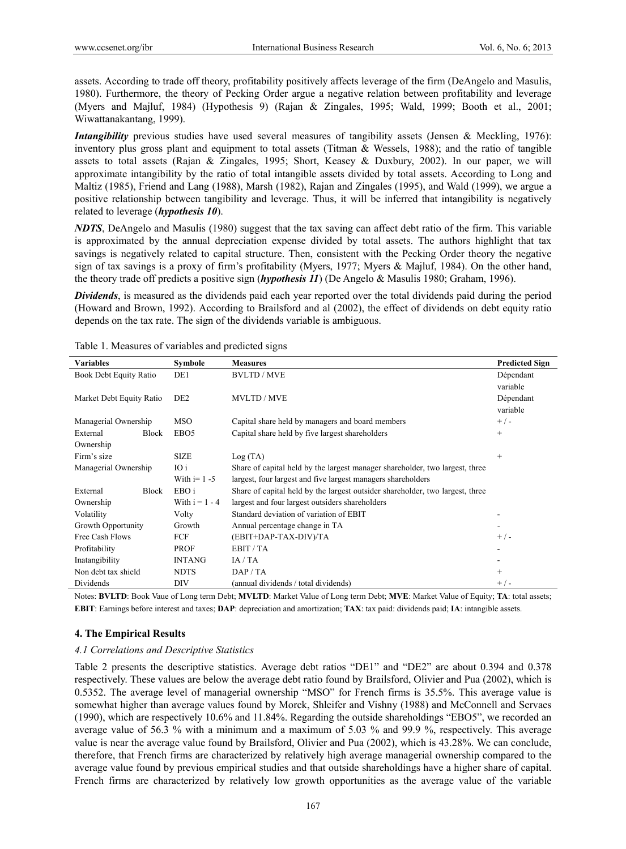assets. According to trade off theory, profitability positively affects leverage of the firm (DeAngelo and Masulis, 1980). Furthermore, the theory of Pecking Order argue a negative relation between profitability and leverage (Myers and Majluf, 1984) (Hypothesis 9) (Rajan & Zingales, 1995; Wald, 1999; Booth et al., 2001; Wiwattanakantang, 1999).

*Intangibility* previous studies have used several measures of tangibility assets (Jensen & Meckling, 1976): inventory plus gross plant and equipment to total assets (Titman & Wessels, 1988); and the ratio of tangible assets to total assets (Rajan & Zingales, 1995; Short, Keasey & Duxbury, 2002). In our paper, we will approximate intangibility by the ratio of total intangible assets divided by total assets. According to Long and Maltiz (1985), Friend and Lang (1988), Marsh (1982), Rajan and Zingales (1995), and Wald (1999), we argue a positive relationship between tangibility and leverage. Thus, it will be inferred that intangibility is negatively related to leverage (*hypothesis 10*).

*NDTS*, DeAngelo and Masulis (1980) suggest that the tax saving can affect debt ratio of the firm. This variable is approximated by the annual depreciation expense divided by total assets. The authors highlight that tax savings is negatively related to capital structure. Then, consistent with the Pecking Order theory the negative sign of tax savings is a proxy of firm's profitability (Myers, 1977; Myers & Majluf, 1984). On the other hand, the theory trade off predicts a positive sign (*hypothesis 11*) (De Angelo & Masulis 1980; Graham, 1996).

*Dividends*, is measured as the dividends paid each year reported over the total dividends paid during the period (Howard and Brown, 1992). According to Brailsford and al (2002), the effect of dividends on debt equity ratio depends on the tax rate. The sign of the dividends variable is ambiguous.

| <b>Variables</b>             |              | Symbole          | <b>Measures</b>                                                               | <b>Predicted Sign</b> |
|------------------------------|--------------|------------------|-------------------------------------------------------------------------------|-----------------------|
| Book Debt Equity Ratio       |              | DE1              | <b>BVLTD/MVE</b>                                                              | Dépendant             |
|                              |              |                  |                                                                               | variable              |
| Market Debt Equity Ratio     |              | DE <sub>2</sub>  | <b>MVLTD / MVE</b>                                                            | Dépendant             |
|                              |              |                  |                                                                               | variable              |
| Managerial Ownership         |              | <b>MSO</b>       | Capital share held by managers and board members                              | $+/-$                 |
| External                     | <b>Block</b> | EBO <sub>5</sub> | Capital share held by five largest shareholders                               | $\qquad \qquad +$     |
| Ownership                    |              |                  |                                                                               |                       |
| Firm's size                  |              | <b>SIZE</b>      | Log(TA)                                                                       | $^{+}$                |
| IO i<br>Managerial Ownership |              |                  | Share of capital held by the largest manager shareholder, two largest, three  |                       |
|                              |              | With $i=1-5$     | largest, four largest and five largest managers shareholders                  |                       |
| External                     | <b>Block</b> | EBO i            | Share of capital held by the largest outsider shareholder, two largest, three |                       |
| Ownership                    |              | With $i = 1 - 4$ | largest and four largest outsiders shareholders                               |                       |
| Volatility                   |              | Volty            | Standard deviation of variation of EBIT                                       |                       |
| Growth Opportunity           |              | Growth           | Annual percentage change in TA                                                |                       |
| Free Cash Flows              |              | FCF              | (EBIT+DAP-TAX-DIV)/TA                                                         | $+/-$                 |
| Profitability                |              | <b>PROF</b>      | EBIT / TA                                                                     |                       |
| Inatangibility               |              | <b>INTANG</b>    | IA/TA                                                                         |                       |
| Non debt tax shield          |              | <b>NDTS</b>      | DAP / TA                                                                      | $^{+}$                |
| Dividends                    |              | <b>DIV</b>       | (annual dividends / total dividends)                                          | $+/-$                 |

Table 1. Measures of variables and predicted signs

Notes: **BVLTD**: Book Vaue of Long term Debt; **MVLTD**: Market Value of Long term Debt; **MVE**: Market Value of Equity; **TA**: total assets; **EBIT**: Earnings before interest and taxes; **DAP**: depreciation and amortization; **TAX**: tax paid: dividends paid; **IA**: intangible assets.

# **4. The Empirical Results**

#### *4.1 Correlations and Descriptive Statistics*

Table 2 presents the descriptive statistics. Average debt ratios "DE1" and "DE2" are about 0.394 and 0.378 respectively. These values are below the average debt ratio found by Brailsford, Olivier and Pua (2002), which is 0.5352. The average level of managerial ownership "MSO" for French firms is 35.5%. This average value is somewhat higher than average values found by Morck, Shleifer and Vishny (1988) and McConnell and Servaes (1990), which are respectively 10.6% and 11.84%. Regarding the outside shareholdings "EBO5", we recorded an average value of 56.3 % with a minimum and a maximum of 5.03 % and 99.9 %, respectively. This average value is near the average value found by Brailsford, Olivier and Pua (2002), which is 43.28%. We can conclude, therefore, that French firms are characterized by relatively high average managerial ownership compared to the average value found by previous empirical studies and that outside shareholdings have a higher share of capital. French firms are characterized by relatively low growth opportunities as the average value of the variable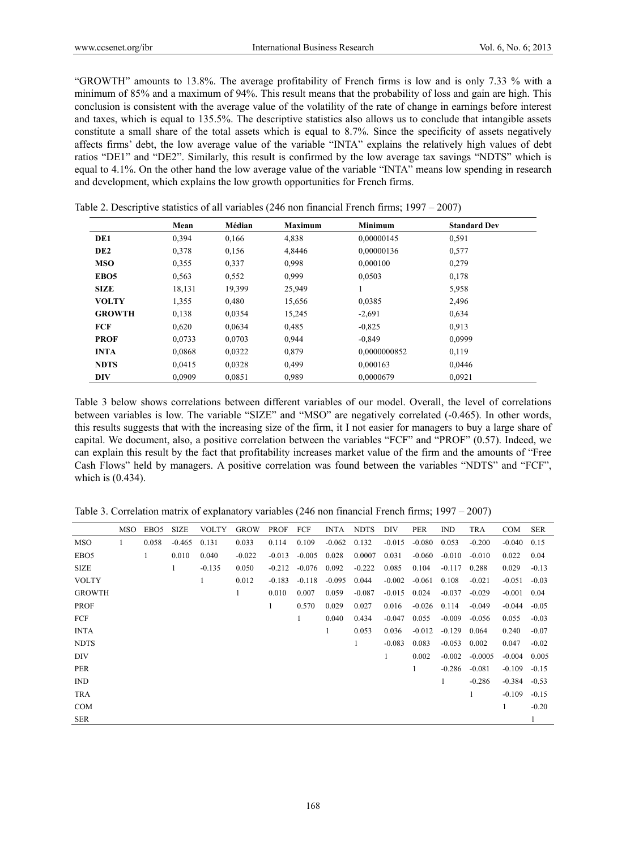"GROWTH" amounts to 13.8%. The average profitability of French firms is low and is only 7.33 % with a minimum of 85% and a maximum of 94%. This result means that the probability of loss and gain are high. This conclusion is consistent with the average value of the volatility of the rate of change in earnings before interest and taxes, which is equal to 135.5%. The descriptive statistics also allows us to conclude that intangible assets constitute a small share of the total assets which is equal to 8.7%. Since the specificity of assets negatively affects firms' debt, the low average value of the variable "INTA" explains the relatively high values of debt ratios "DE1" and "DE2". Similarly, this result is confirmed by the low average tax savings "NDTS" which is equal to 4.1%. On the other hand the low average value of the variable "INTA" means low spending in research and development, which explains the low growth opportunities for French firms.

|                  | Mean   | Médian | <b>Maximum</b> | Minimum      | <b>Standard Dev</b> |
|------------------|--------|--------|----------------|--------------|---------------------|
| DE1              | 0,394  | 0,166  | 4,838          | 0,00000145   | 0,591               |
| DE <sub>2</sub>  | 0,378  | 0,156  | 4.8446         | 0.00000136   | 0,577               |
| <b>MSO</b>       | 0,355  | 0,337  | 0,998          | 0.000100     | 0,279               |
| EBO <sub>5</sub> | 0,563  | 0,552  | 0.999          | 0.0503       | 0,178               |
| <b>SIZE</b>      | 18,131 | 19,399 | 25,949         |              | 5,958               |
| <b>VOLTY</b>     | 1,355  | 0,480  | 15,656         | 0,0385       | 2,496               |
| <b>GROWTH</b>    | 0,138  | 0,0354 | 15,245         | $-2,691$     | 0,634               |
| FCF              | 0,620  | 0,0634 | 0,485          | $-0.825$     | 0.913               |
| <b>PROF</b>      | 0.0733 | 0,0703 | 0,944          | $-0,849$     | 0,0999              |
| <b>INTA</b>      | 0.0868 | 0,0322 | 0,879          | 0.0000000852 | 0,119               |
| <b>NDTS</b>      | 0.0415 | 0,0328 | 0.499          | 0,000163     | 0,0446              |
| <b>DIV</b>       | 0.0909 | 0.0851 | 0.989          | 0.0000679    | 0.0921              |

Table 2. Descriptive statistics of all variables (246 non financial French firms; 1997 – 2007)

Table 3 below shows correlations between different variables of our model. Overall, the level of correlations between variables is low. The variable "SIZE" and "MSO" are negatively correlated (-0.465). In other words, this results suggests that with the increasing size of the firm, it I not easier for managers to buy a large share of capital. We document, also, a positive correlation between the variables "FCF" and "PROF" (0.57). Indeed, we can explain this result by the fact that profitability increases market value of the firm and the amounts of "Free Cash Flows" held by managers. A positive correlation was found between the variables "NDTS" and "FCF", which is (0.434).

Table 3. Correlation matrix of explanatory variables (246 non financial French firms; 1997 – 2007)

|                  | <b>MSO</b> | EBO <sub>5</sub> | <b>SIZE</b> | <b>VOLTY</b> | <b>GROW</b> | <b>PROF</b> | FCF      | <b>INTA</b> | <b>NDTS</b> | DIV      | <b>PER</b> | IND      | <b>TRA</b> | <b>COM</b> | <b>SER</b> |
|------------------|------------|------------------|-------------|--------------|-------------|-------------|----------|-------------|-------------|----------|------------|----------|------------|------------|------------|
| <b>MSO</b>       | 1          | 0.058            | $-0.465$    | 0.131        | 0.033       | 0.114       | 0.109    | $-0.062$    | 0.132       | $-0.015$ | $-0.080$   | 0.053    | $-0.200$   | $-0.040$   | 0.15       |
| EBO <sub>5</sub> |            | 1                | 0.010       | 0.040        | $-0.022$    | $-0.013$    | $-0.005$ | 0.028       | 0.0007      | 0.031    | $-0.060$   | $-0.010$ | $-0.010$   | 0.022      | 0.04       |
| <b>SIZE</b>      |            |                  | 1           | $-0.135$     | 0.050       | $-0.212$    | $-0.076$ | 0.092       | $-0.222$    | 0.085    | 0.104      | $-0.117$ | 0.288      | 0.029      | $-0.13$    |
| <b>VOLTY</b>     |            |                  |             | 1            | 0.012       | $-0.183$    | $-0.118$ | $-0.095$    | 0.044       | $-0.002$ | $-0.061$   | 0.108    | $-0.021$   | $-0.051$   | $-0.03$    |
| <b>GROWTH</b>    |            |                  |             |              | 1           | 0.010       | 0.007    | 0.059       | $-0.087$    | $-0.015$ | 0.024      | $-0.037$ | $-0.029$   | $-0.001$   | 0.04       |
| <b>PROF</b>      |            |                  |             |              |             | 1           | 0.570    | 0.029       | 0.027       | 0.016    | $-0.026$   | 0.114    | $-0.049$   | $-0.044$   | $-0.05$    |
| FCF              |            |                  |             |              |             |             | 1        | 0.040       | 0.434       | $-0.047$ | 0.055      | $-0.009$ | $-0.056$   | 0.055      | $-0.03$    |
| <b>INTA</b>      |            |                  |             |              |             |             |          |             | 0.053       | 0.036    | $-0.012$   | $-0.129$ | 0.064      | 0.240      | $-0.07$    |
| <b>NDTS</b>      |            |                  |             |              |             |             |          |             | 1           | $-0.083$ | 0.083      | $-0.053$ | 0.002      | 0.047      | $-0.02$    |
| <b>DIV</b>       |            |                  |             |              |             |             |          |             |             | 1        | 0.002      | $-0.002$ | $-0.0005$  | $-0.004$   | 0.005      |
| <b>PER</b>       |            |                  |             |              |             |             |          |             |             |          | 1          | $-0.286$ | $-0.081$   | $-0.109$   | $-0.15$    |
| <b>IND</b>       |            |                  |             |              |             |             |          |             |             |          |            |          | $-0.286$   | $-0.384$   | $-0.53$    |
| <b>TRA</b>       |            |                  |             |              |             |             |          |             |             |          |            |          | 1          | $-0.109$   | $-0.15$    |
| <b>COM</b>       |            |                  |             |              |             |             |          |             |             |          |            |          |            | 1          | $-0.20$    |
| <b>SER</b>       |            |                  |             |              |             |             |          |             |             |          |            |          |            |            | 1          |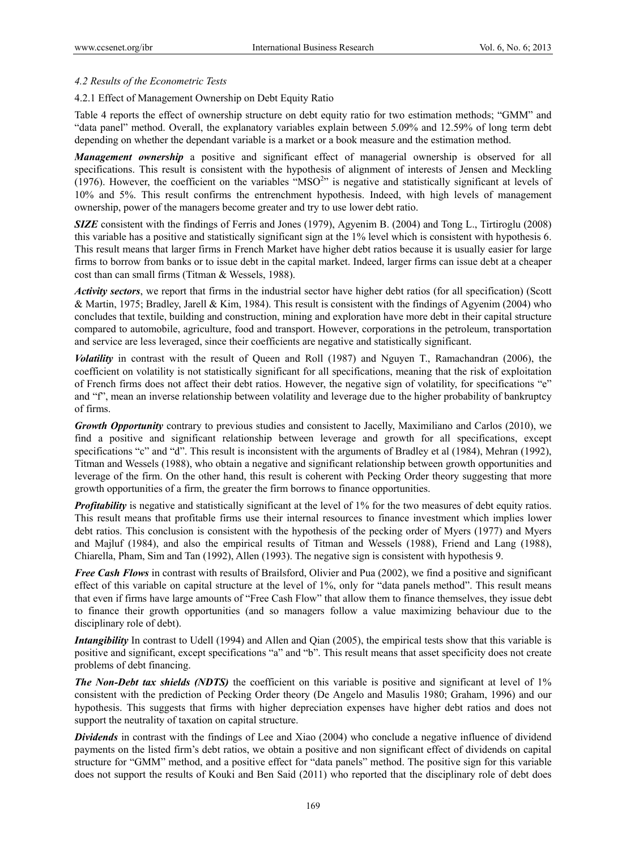# *4.2 Results of the Econometric Tests*

4.2.1 Effect of Management Ownership on Debt Equity Ratio

Table 4 reports the effect of ownership structure on debt equity ratio for two estimation methods; "GMM" and "data panel" method. Overall, the explanatory variables explain between 5.09% and 12.59% of long term debt depending on whether the dependant variable is a market or a book measure and the estimation method.

*Management ownership* a positive and significant effect of managerial ownership is observed for all specifications. This result is consistent with the hypothesis of alignment of interests of Jensen and Meckling (1976). However, the coefficient on the variables " $MSO<sup>2</sup>$ " is negative and statistically significant at levels of 10% and 5%. This result confirms the entrenchment hypothesis. Indeed, with high levels of management ownership, power of the managers become greater and try to use lower debt ratio.

*SIZE* consistent with the findings of Ferris and Jones (1979), Agyenim B. (2004) and Tong L., Tirtiroglu (2008) this variable has a positive and statistically significant sign at the 1% level which is consistent with hypothesis 6. This result means that larger firms in French Market have higher debt ratios because it is usually easier for large firms to borrow from banks or to issue debt in the capital market. Indeed, larger firms can issue debt at a cheaper cost than can small firms (Titman & Wessels, 1988).

*Activity sectors*, we report that firms in the industrial sector have higher debt ratios (for all specification) (Scott & Martin, 1975; Bradley, Jarell & Kim, 1984). This result is consistent with the findings of Agyenim (2004) who concludes that textile, building and construction, mining and exploration have more debt in their capital structure compared to automobile, agriculture, food and transport. However, corporations in the petroleum, transportation and service are less leveraged, since their coefficients are negative and statistically significant.

*Volatility* in contrast with the result of Queen and Roll (1987) and Nguyen T., Ramachandran (2006), the coefficient on volatility is not statistically significant for all specifications, meaning that the risk of exploitation of French firms does not affect their debt ratios. However, the negative sign of volatility, for specifications "e" and "f", mean an inverse relationship between volatility and leverage due to the higher probability of bankruptcy of firms.

*Growth Opportunity* contrary to previous studies and consistent to Jacelly, Maximiliano and Carlos (2010), we find a positive and significant relationship between leverage and growth for all specifications, except specifications "c" and "d". This result is inconsistent with the arguments of Bradley et al (1984), Mehran (1992), Titman and Wessels (1988), who obtain a negative and significant relationship between growth opportunities and leverage of the firm. On the other hand, this result is coherent with Pecking Order theory suggesting that more growth opportunities of a firm, the greater the firm borrows to finance opportunities.

*Profitability* is negative and statistically significant at the level of 1% for the two measures of debt equity ratios. This result means that profitable firms use their internal resources to finance investment which implies lower debt ratios. This conclusion is consistent with the hypothesis of the pecking order of Myers (1977) and Myers and Majluf (1984), and also the empirical results of Titman and Wessels (1988), Friend and Lang (1988), Chiarella, Pham, Sim and Tan (1992), Allen (1993). The negative sign is consistent with hypothesis 9.

*Free Cash Flows* in contrast with results of Brailsford, Olivier and Pua (2002), we find a positive and significant effect of this variable on capital structure at the level of 1%, only for "data panels method". This result means that even if firms have large amounts of "Free Cash Flow" that allow them to finance themselves, they issue debt to finance their growth opportunities (and so managers follow a value maximizing behaviour due to the disciplinary role of debt).

*Intangibility* In contrast to Udell (1994) and Allen and Qian (2005), the empirical tests show that this variable is positive and significant, except specifications "a" and "b". This result means that asset specificity does not create problems of debt financing.

*The Non-Debt tax shields (NDTS)* the coefficient on this variable is positive and significant at level of 1% consistent with the prediction of Pecking Order theory (De Angelo and Masulis 1980; Graham, 1996) and our hypothesis. This suggests that firms with higher depreciation expenses have higher debt ratios and does not support the neutrality of taxation on capital structure.

*Dividends* in contrast with the findings of Lee and Xiao (2004) who conclude a negative influence of dividend payments on the listed firm's debt ratios, we obtain a positive and non significant effect of dividends on capital structure for "GMM" method, and a positive effect for "data panels" method. The positive sign for this variable does not support the results of Kouki and Ben Said (2011) who reported that the disciplinary role of debt does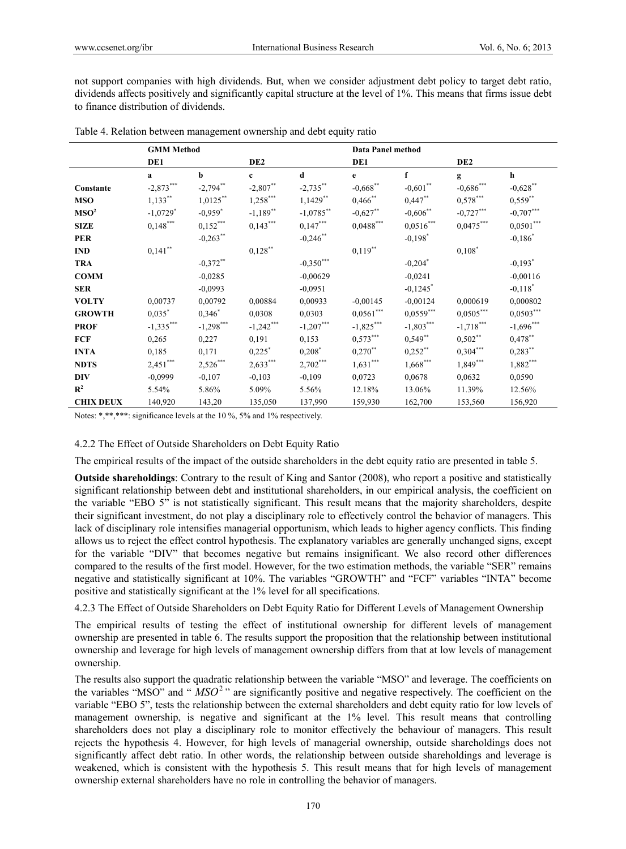not support companies with high dividends. But, when we consider adjustment debt policy to target debt ratio, dividends affects positively and significantly capital structure at the level of 1%. This means that firms issue debt to finance distribution of dividends.

|                  | <b>GMM</b> Method      |             |                 |                      | Data Panel method  |                        |                 |                       |
|------------------|------------------------|-------------|-----------------|----------------------|--------------------|------------------------|-----------------|-----------------------|
|                  | DE1                    |             | DE <sub>2</sub> |                      | DE1                |                        | DE <sub>2</sub> |                       |
|                  | a                      | b           | $\mathbf{c}$    | d                    | e                  | f                      | g               | h                     |
| Constante        | $-2,873***$            | $-2,794$ ** | $-2,807**$      | $-2,735***$          | $-0,668$ **        | $-0,601$ **            | $-0,686***$     | $-0,628$ **           |
| <b>MSO</b>       | $1,133***$             | $1,0125***$ | $1,258***$      | $1,1429**$           | $0,466$ **         | $0,447***$             | $0,578***$      | $0,559***$            |
| MSO <sup>2</sup> | $-1,0729$ <sup>*</sup> | $-0,959$ *  | $-1,189**$      | $-1,0785***$         | $-0,627**$         | $-0,606$ **            | $-0,727***$     | $-0,707***$           |
| <b>SIZE</b>      | $0,148***$             | $0,152***$  | $0,143***$      | $0,147***$           | $0,0488***$        | $0,0516***$            | $0,0475***$     | ${0,\!0501}^{***}$    |
| <b>PER</b>       |                        | $-0,263$ ** |                 | $-0,246$ **          |                    | $-0,198$ <sup>*</sup>  |                 | $-0,186^*$            |
| <b>IND</b>       | $0,141***$             |             | $0,128***$      |                      | $0,119***$         |                        | $0,108$ *       |                       |
| <b>TRA</b>       |                        | $-0,372**$  |                 | $-0,350***$          |                    | $-0,204$ <sup>*</sup>  |                 | $-0,193$ <sup>*</sup> |
| <b>COMM</b>      |                        | $-0.0285$   |                 | $-0,00629$           |                    | $-0,0241$              |                 | $-0.00116$            |
| <b>SER</b>       |                        | $-0,0993$   |                 | $-0,0951$            |                    | $-0,1245$ <sup>*</sup> |                 | $-0,118$ <sup>*</sup> |
| <b>VOLTY</b>     | 0,00737                | 0,00792     | 0,00884         | 0.00933              | $-0.00145$         | $-0,00124$             | 0,000619        | 0,000802              |
| <b>GROWTH</b>    | $0,035$ *              | $0,346*$    | 0,0308          | 0,0303               | ${0,\!0561}^{***}$ | $0,0559***$            | $0,0505***$     | $0,0503***$           |
| <b>PROF</b>      | $-1,335***$            | $-1,298***$ | $-1,242***$     | $-1,207***$          | $-1,825***$        | $-1,803***$            | $-1,718***$     | $-1,696***$           |
| <b>FCF</b>       | 0,265                  | 0,227       | 0,191           | 0,153                | $0,573***$         | $0,549**$              | $0,502**$       | $0,478***$            |
| <b>INTA</b>      | 0,185                  | 0,171       | $0,225$ *       | $0,208$ <sup>*</sup> | $0,270**$          | $0,252***$             | $0,304***$      | $0,283***$            |
| <b>NDTS</b>      | $2,451***$             | $2,526***$  | $2,633***$      | $2,702***$           | $1,631***$         | $1,668***$             | $1,849***$      | $1,882***$            |
| <b>DIV</b>       | $-0,0999$              | $-0,107$    | $-0,103$        | $-0,109$             | 0,0723             | 0,0678                 | 0,0632          | 0,0590                |
| $\mathbb{R}^2$   | 5.54%                  | 5.86%       | 5.09%           | 5.56%                | 12.18%             | 13.06%                 | 11.39%          | 12.56%                |
| <b>CHIX DEUX</b> | 140,920                | 143,20      | 135,050         | 137,990              | 159,930            | 162,700                | 153,560         | 156,920               |

Table 4. Relation between management ownership and debt equity ratio

Notes: \*,\*\*,\*\*\*: significance levels at the 10 %, 5% and 1% respectively.

# 4.2.2 The Effect of Outside Shareholders on Debt Equity Ratio

The empirical results of the impact of the outside shareholders in the debt equity ratio are presented in table 5.

**Outside shareholdings**: Contrary to the result of King and Santor (2008), who report a positive and statistically significant relationship between debt and institutional shareholders, in our empirical analysis, the coefficient on the variable "EBO 5" is not statistically significant. This result means that the majority shareholders, despite their significant investment, do not play a disciplinary role to effectively control the behavior of managers. This lack of disciplinary role intensifies managerial opportunism, which leads to higher agency conflicts. This finding allows us to reject the effect control hypothesis. The explanatory variables are generally unchanged signs, except for the variable "DIV" that becomes negative but remains insignificant. We also record other differences compared to the results of the first model. However, for the two estimation methods, the variable "SER" remains negative and statistically significant at 10%. The variables "GROWTH" and "FCF" variables "INTA" become positive and statistically significant at the 1% level for all specifications.

4.2.3 The Effect of Outside Shareholders on Debt Equity Ratio for Different Levels of Management Ownership

The empirical results of testing the effect of institutional ownership for different levels of management ownership are presented in table 6. The results support the proposition that the relationship between institutional ownership and leverage for high levels of management ownership differs from that at low levels of management ownership.

The results also support the quadratic relationship between the variable "MSO" and leverage. The coefficients on the variables "MSO" and "  $\overline{MSO}^2$ " are significantly positive and negative respectively. The coefficient on the variable "EBO 5", tests the relationship between the external shareholders and debt equity ratio for low levels of management ownership, is negative and significant at the 1% level. This result means that controlling shareholders does not play a disciplinary role to monitor effectively the behaviour of managers. This result rejects the hypothesis 4. However, for high levels of managerial ownership, outside shareholdings does not significantly affect debt ratio. In other words, the relationship between outside shareholdings and leverage is weakened, which is consistent with the hypothesis 5. This result means that for high levels of management ownership external shareholders have no role in controlling the behavior of managers.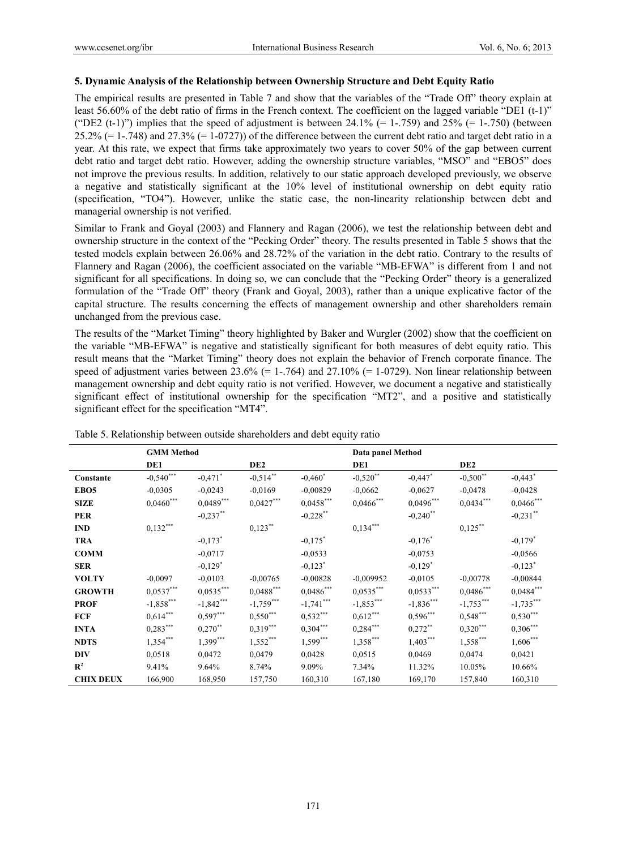# **5. Dynamic Analysis of the Relationship between Ownership Structure and Debt Equity Ratio**

The empirical results are presented in Table 7 and show that the variables of the "Trade Off" theory explain at least 56.60% of the debt ratio of firms in the French context. The coefficient on the lagged variable "DE1 (t-1)" ("DE2 (t-1)") implies that the speed of adjustment is between 24.1% (= 1-.759) and 25% (= 1-.750) (between  $25.2\%$  (= 1-.748) and  $27.3\%$  (= 1-0727)) of the difference between the current debt ratio and target debt ratio in a year. At this rate, we expect that firms take approximately two years to cover 50% of the gap between current debt ratio and target debt ratio. However, adding the ownership structure variables, "MSO" and "EBO5" does not improve the previous results. In addition, relatively to our static approach developed previously, we observe a negative and statistically significant at the 10% level of institutional ownership on debt equity ratio (specification, "TO4"). However, unlike the static case, the non-linearity relationship between debt and managerial ownership is not verified.

Similar to Frank and Goyal (2003) and Flannery and Ragan (2006), we test the relationship between debt and ownership structure in the context of the "Pecking Order" theory. The results presented in Table 5 shows that the tested models explain between 26.06% and 28.72% of the variation in the debt ratio. Contrary to the results of Flannery and Ragan (2006), the coefficient associated on the variable "MB-EFWA" is different from 1 and not significant for all specifications. In doing so, we can conclude that the "Pecking Order" theory is a generalized formulation of the "Trade Off" theory (Frank and Goyal, 2003), rather than a unique explicative factor of the capital structure. The results concerning the effects of management ownership and other shareholders remain unchanged from the previous case.

The results of the "Market Timing" theory highlighted by Baker and Wurgler (2002) show that the coefficient on the variable "MB-EFWA" is negative and statistically significant for both measures of debt equity ratio. This result means that the "Market Timing" theory does not explain the behavior of French corporate finance. The speed of adjustment varies between  $23.6\%$  (= 1-.764) and  $27.10\%$  (= 1-0729). Non linear relationship between management ownership and debt equity ratio is not verified. However, we document a negative and statistically significant effect of institutional ownership for the specification "MT2", and a positive and statistically significant effect for the specification "MT4".

|                  | <b>GMM</b> Method |                       |                 |                       | Data panel Method |                       |                 |                       |
|------------------|-------------------|-----------------------|-----------------|-----------------------|-------------------|-----------------------|-----------------|-----------------------|
|                  | DE1               |                       | DE <sub>2</sub> |                       | DE1               |                       | DE <sub>2</sub> |                       |
| Constante        | $-0,540***$       | $-0,471$ <sup>*</sup> | $-0,514$ **     | $-0,460^*$            | $-0,520$ **       | $-0,447$ <sup>*</sup> | $-0,500$ **     | $-0,443$ <sup>*</sup> |
| EBO <sub>5</sub> | $-0.0305$         | $-0,0243$             | $-0.0169$       | $-0,00829$            | $-0,0662$         | $-0.0627$             | $-0.0478$       | $-0.0428$             |
| <b>SIZE</b>      | $0{,}0460^{***}$  | $0,0489***$           | $0,0427***$     | $0,0458***$           | $0{,}0466^{***}$  | $0,0496***$           | $0,0434***$     | $0,0466$ ***          |
| <b>PER</b>       |                   | $-0,237$ **           |                 | $-0,228$ **           |                   | $-0,240$ **           |                 | $-0,231$ **           |
| <b>IND</b>       | $0,132***$        |                       | $0,123$ **      |                       | $0,134***$        |                       | $0,125***$      |                       |
| <b>TRA</b>       |                   | $-0,173$ <sup>*</sup> |                 | $-0,175$ <sup>*</sup> |                   | $-0,176$ *            |                 | $-0,179$ <sup>*</sup> |
| <b>COMM</b>      |                   | $-0,0717$             |                 | $-0.0533$             |                   | $-0.0753$             |                 | $-0,0566$             |
| <b>SER</b>       |                   | $-0,129$ <sup>*</sup> |                 | $-0,123$ <sup>*</sup> |                   | $-0,129$ <sup>*</sup> |                 | $-0,123$ <sup>*</sup> |
| <b>VOLTY</b>     | $-0.0097$         | $-0.0103$             | $-0,00765$      | $-0.00828$            | $-0,009952$       | $-0.0105$             | $-0.00778$      | $-0,00844$            |
| <b>GROWTH</b>    | $0,0537***$       | $0,0535***$           | $0,0488***$     | $0,0486***$           | $0,0535***$       | $0,0533***$           | $0,0486***$     | $0,0484$ ***          |
| <b>PROF</b>      | $-1,858***$       | $-1,842***$           | $-1,759***$     | $-1,741***$           | $-1,853***$       | $-1,836***$           | $-1,753***$     | $-1,735***$           |
| <b>FCF</b>       | $0,614***$        | $0,597***$            | $0,550***$      | $0,532***$            | $0,612***$        | $0,596***$            | $0,548***$      | $0,530***$            |
| <b>INTA</b>      | $0,283***$        | $0,270$ **            | $0,319***$      | $0,304***$            | $0,284***$        | $0,272$ **            | $0,320***$      | $0,306***$            |
| <b>NDTS</b>      | $1,354***$        | $1,399***$            | $1,552***$      | $1,599***$            | $1,358***$        | $1,403***$            | $1,558***$      | $1,606***$            |
| <b>DIV</b>       | 0.0518            | 0,0472                | 0,0479          | 0,0428                | 0,0515            | 0,0469                | 0,0474          | 0,0421                |
| $\mathbf{R}^2$   | 9.41%             | 9.64%                 | 8.74%           | 9.09%                 | 7.34%             | 11.32%                | 10.05%          | 10.66%                |
| <b>CHIX DEUX</b> | 166,900           | 168,950               | 157,750         | 160,310               | 167,180           | 169,170               | 157,840         | 160,310               |

| Table 5. Relationship between outside shareholders and debt equity ratio |
|--------------------------------------------------------------------------|
|--------------------------------------------------------------------------|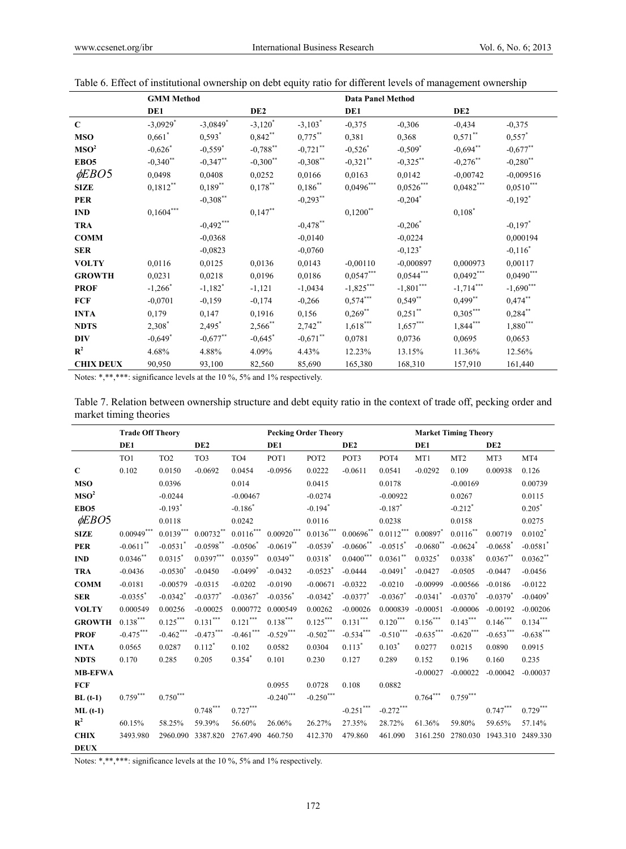|                  | <b>GMM</b> Method      |                       |                       |             | <b>Data Panel Method</b> |                           |                 |                          |
|------------------|------------------------|-----------------------|-----------------------|-------------|--------------------------|---------------------------|-----------------|--------------------------|
|                  | DE1                    |                       | DE <sub>2</sub>       |             | DE1                      |                           | DE <sub>2</sub> |                          |
| $\mathbf C$      | $-3,0929$ <sup>*</sup> | $-3,0849$ *           | $-3,120^*$            | $-3,103*$   | $-0.375$                 | $-0.306$                  | $-0,434$        | $-0,375$                 |
| <b>MSO</b>       | $0,661$ <sup>*</sup>   | $0,593$ <sup>*</sup>  | $0,842***$            | $0,775***$  | 0,381                    | 0,368                     | $0,571$ **      | $0,557$ *                |
| MSO <sup>2</sup> | $-0,626$ <sup>*</sup>  | $-0,559$ <sup>*</sup> | $-0,788***$           | $-0,721$ ** | $-0,526$ *               | $-0,509$ <sup>*</sup>     | $-0,694$ **     | $-0,677***$              |
| EBO <sub>5</sub> | $-0,340$ **            | $-0,347$ **           | $-0,300$ **           | $-0,308$ ** | $-0,321$ **              | $-0,325$ **               | $-0,276$ **     | $-0,280$ **              |
| $\phi EBO5$      | 0,0498                 | 0,0408                | 0,0252                | 0,0166      | 0,0163                   | 0,0142                    | $-0,00742$      | $-0.009516$              |
| <b>SIZE</b>      | $0,1812**$             | $0,189**$             | $0,178$ **            | $0,186***$  | $0,0496***$              | $0{,}0526^{\ast\ast\ast}$ | $0,0482***$     | $0,0510***$              |
| <b>PER</b>       |                        | $-0,308***$           |                       | $-0,293***$ |                          | $-0,204$ *                |                 | $-0,192$ <sup>*</sup>    |
| <b>IND</b>       | $0,1604***$            |                       | $0,147***$            |             | $0,1200$ **              |                           | $0,108^*$       |                          |
| <b>TRA</b>       |                        | $-0,492***$           |                       | $-0,478$ ** |                          | $-0,206^*$                |                 | $-0,197$ *               |
| <b>COMM</b>      |                        | $-0.0368$             |                       | $-0.0140$   |                          | $-0,0224$                 |                 | 0,000194                 |
| <b>SER</b>       |                        | $-0,0823$             |                       | $-0,0760$   |                          | $-0,123$ <sup>*</sup>     |                 | $-0,116^*$               |
| <b>VOLTY</b>     | 0,0116                 | 0,0125                | 0,0136                | 0,0143      | $-0,00110$               | $-0,000897$               | 0,000973        | 0,00117                  |
| <b>GROWTH</b>    | 0,0231                 | 0,0218                | 0,0196                | 0,0186      | $0,0547***$              | $0,0544***$               | $0,0492***$     | $0,0490***$              |
| <b>PROF</b>      | $-1,266$ <sup>*</sup>  | $-1,182$ <sup>*</sup> | $-1,121$              | $-1,0434$   | $-1,825***$              | $-1,801***$               | $-1,714***$     | $-1,690***$              |
| <b>FCF</b>       | $-0,0701$              | $-0,159$              | $-0,174$              | $-0,266$    | $0,574***$               | $0,549**$                 | $0,499$ **      | $0,474***$               |
| <b>INTA</b>      | 0,179                  | 0,147                 | 0,1916                | 0,156       | $0,269**$                | $0,251***$                | $0,305***$      | $0,284***$               |
| <b>NDTS</b>      | 2,308*                 | 2,495*                | $2,566$ **            | $2,742**$   | $1,618***$               | $1,657***$                | $1,844***$      | $1{,}880^{\ast\ast\ast}$ |
| <b>DIV</b>       | $-0,649$ *             | $-0,677***$           | $-0,645$ <sup>*</sup> | $-0,671$ ** | 0,0781                   | 0,0736                    | 0,0695          | 0,0653                   |
| $\mathbb{R}^2$   | 4.68%                  | 4.88%                 | 4.09%                 | 4.43%       | 12.23%                   | 13.15%                    | 11.36%          | 12.56%                   |
| <b>CHIX DEUX</b> | 90,950                 | 93,100                | 82,560                | 85,690      | 165,380                  | 168,310                   | 157,910         | 161,440                  |

Table 6. Effect of institutional ownership on debt equity ratio for different levels of management ownership

Notes: \*,\*\*,\*\*\*: significance levels at the 10 %, 5% and 1% respectively.

Table 7. Relation between ownership structure and debt equity ratio in the context of trade off, pecking order and market timing theories

|                  | <b>Trade Off Theory</b> |                        |                        |                        | <b>Pecking Order Theory</b> |                        |                         |                        |                        | <b>Market Timing Theory</b> |                        |                        |
|------------------|-------------------------|------------------------|------------------------|------------------------|-----------------------------|------------------------|-------------------------|------------------------|------------------------|-----------------------------|------------------------|------------------------|
|                  | DE1                     |                        | DE <sub>2</sub>        |                        | DE1                         |                        | DE <sub>2</sub>         |                        | DE1                    |                             | DE <sub>2</sub>        |                        |
|                  | TO1                     | TO <sub>2</sub>        | TO <sub>3</sub>        | TO <sub>4</sub>        | POT1                        | POT <sub>2</sub>       | POT3                    | POT <sub>4</sub>       | MT1                    | MT <sub>2</sub>             | MT3                    | MT4                    |
| $\mathbf C$      | 0.102                   | 0.0150                 | $-0.0692$              | 0.0454                 | $-0.0956$                   | 0.0222                 | $-0.0611$               | 0.0541                 | $-0.0292$              | 0.109                       | 0.00938                | 0.126                  |
| <b>MSO</b>       |                         | 0.0396                 |                        | 0.014                  |                             | 0.0415                 |                         | 0.0178                 |                        | $-0.00169$                  |                        | 0.00739                |
| MSO <sup>2</sup> |                         | $-0.0244$              |                        | $-0.00467$             |                             | $-0.0274$              |                         | $-0.00922$             |                        | 0.0267                      |                        | 0.0115                 |
| EBO <sub>5</sub> |                         | $-0.193$ <sup>*</sup>  |                        | $-0.186$ <sup>*</sup>  |                             | $-0.194$ <sup>*</sup>  |                         | $-0.187$ <sup>*</sup>  |                        | $-0.212$ <sup>*</sup>       |                        | $0.205*$               |
| $\phi EBO5$      |                         | 0.0118                 |                        | 0.0242                 |                             | 0.0116                 |                         | 0.0238                 |                        | 0.0158                      |                        | 0.0275                 |
| <b>SIZE</b>      | $0.00949***$            | $0.0139^{***}\,$       | $0.00732$ **           | $0.0116^{***}\,$       | $0.00920***$                | $0.0136^{***}\,$       | $0.00696$ <sup>**</sup> | $0.0112***$            | $0.00897$ *            | $0.0116***$                 | 0.00719                | $0.0102$ *             |
| <b>PER</b>       | $-0.0611$ **            | $-0.0531$ <sup>*</sup> | $-0.0598$ **           | $-0.0506*$             | $-0.0619$ **                | $-0.0539$ <sup>*</sup> | $-0.0606$ <sup>**</sup> | $-0.0515$ <sup>*</sup> | $-0.0680$ **           | $-0.0624$ <sup>*</sup>      | $-0.0658$ <sup>*</sup> | $-0.0581$ <sup>*</sup> |
| <b>IND</b>       | $0.0346$ **             | $0.0315^{*}$           | $0.0397***$            | $0.0359**$             | $0.0349**$                  | $0.0318^*$             | $0.0400***$             | $0.0361**$             | $0.0325$ <sup>*</sup>  | $0.0338$ <sup>*</sup>       | $0.0367$ **            | $0.0362**$             |
| <b>TRA</b>       | $-0.0436$               | $-0.0530^{*}$          | $-0.0450$              | $-0.0499$ <sup>*</sup> | $-0.0432$                   | $-0.0523$ <sup>*</sup> | $-0.0444$               | $-0.0491$ <sup>*</sup> | $-0.0427$              | $-0.0505$                   | $-0.0447$              | $-0.0456$              |
| <b>COMM</b>      | $-0.0181$               | $-0.00579$             | $-0.0315$              | $-0.0202$              | $-0.0190$                   | $-0.00671$             | $-0.0322$               | $-0.0210$              | $-0.00999$             | $-0.00566$                  | $-0.0186$              | $-0.0122$              |
| <b>SER</b>       | $-0.0355$ <sup>*</sup>  | $-0.0342$ <sup>*</sup> | $-0.0377$ <sup>*</sup> | $-0.0367$              | $-0.0356^*$                 | $-0.0342$ <sup>*</sup> | $-0.0377$ <sup>*</sup>  | $-0.0367$              | $-0.0341$ <sup>*</sup> | $-0.0370^*$                 | $-0.0379$ <sup>*</sup> | $-0.0409$ <sup>*</sup> |
| <b>VOLTY</b>     | 0.000549                | 0.00256                | $-0.00025$             | 0.000772               | 0.000549                    | 0.00262                | $-0.00026$              | 0.000839               | $-0.00051$             | $-0.00006$                  | $-0.00192$             | $-0.00206$             |
| <b>GROWTH</b>    | $0.138^{\ast\ast\ast}$  | $0.125^{\ast\ast\ast}$ | $0.131^{\ast\ast\ast}$ | $0.121^{\ast\ast\ast}$ | $0.138^{\ast\ast\ast}$      | $0.125^{\ast\ast\ast}$ | $0.131^{\ast\ast\ast}$  | $0.120^{\ast\ast\ast}$ | $0.156^{\ast\ast\ast}$ | $0.143***$                  | $0.146***$             | $0.134^{***}$          |
| <b>PROF</b>      | $-0.475***$             | $-0.462$ ***           | $-0.473***$            | $-0.461$ ***           | $-0.529***$                 | $-0.502***$            | $-0.534***$             | $-0.510***$            | $-0.635***$            | $-0.620$ ***                | $-0.653***$            | $-0.638***$            |
| <b>INTA</b>      | 0.0565                  | 0.0287                 | $0.112*$               | 0.102                  | 0.0582                      | 0.0304                 | $0.113*$                | $0.103^*$              | 0.0277                 | 0.0215                      | 0.0890                 | 0.0915                 |
| <b>NDTS</b>      | 0.170                   | 0.285                  | 0.205                  | $0.354*$               | 0.101                       | 0.230                  | 0.127                   | 0.289                  | 0.152                  | 0.196                       | 0.160                  | 0.235                  |
| <b>MB-EFWA</b>   |                         |                        |                        |                        |                             |                        |                         |                        | $-0.00027$             | $-0.00022$                  | $-0.00042$             | $-0.00037$             |
| <b>FCF</b>       |                         |                        |                        |                        | 0.0955                      | 0.0728                 | 0.108                   | 0.0882                 |                        |                             |                        |                        |
| $BL(t-1)$        | $0.759^{\ast\ast\ast}$  | $0.750^{\ast\ast\ast}$ |                        |                        | $-0.240***$                 | $-0.250^{***}$         |                         |                        | $0.764^{***}\,$        | $0.759^{***}$               |                        |                        |
| $ML(t-1)$        |                         |                        | $0.748^{\ast\ast\ast}$ | $0.727^{\ast\ast\ast}$ |                             |                        | $\textbf{-0.251}^{***}$ | $-0.272***$            |                        |                             | $0.747***$             | $0.729^{\ast\ast\ast}$ |
| $\mathbb{R}^2$   | 60.15%                  | 58.25%                 | 59.39%                 | 56.60%                 | 26.06%                      | 26.27%                 | 27.35%                  | 28.72%                 | 61.36%                 | 59.80%                      | 59.65%                 | 57.14%                 |
| <b>CHIX</b>      | 3493.980                | 2960.090               | 3387.820               | 2767.490               | 460.750                     | 412.370                | 479.860                 | 461.090                | 3161.250               |                             | 2780.030 1943.310      | 2489.330               |
| <b>DEUX</b>      |                         |                        |                        |                        |                             |                        |                         |                        |                        |                             |                        |                        |

Notes: \*,\*\*,\*\*\*: significance levels at the 10 %, 5% and 1% respectively.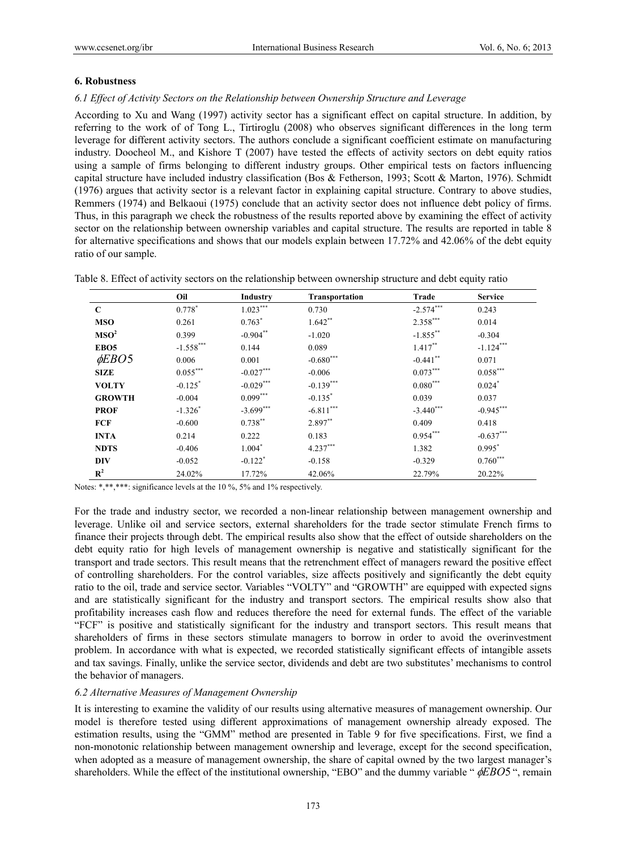# **6. Robustness**

# *6.1 Effect of Activity Sectors on the Relationship between Ownership Structure and Leverage*

According to Xu and Wang (1997) activity sector has a significant effect on capital structure. In addition, by referring to the work of of Tong L., Tirtiroglu (2008) who observes significant differences in the long term leverage for different activity sectors. The authors conclude a significant coefficient estimate on manufacturing industry. Doocheol M., and Kishore T (2007) have tested the effects of activity sectors on debt equity ratios using a sample of firms belonging to different industry groups. Other empirical tests on factors influencing capital structure have included industry classification (Bos & Fetherson, 1993; Scott & Marton, 1976). Schmidt (1976) argues that activity sector is a relevant factor in explaining capital structure. Contrary to above studies, Remmers (1974) and Belkaoui (1975) conclude that an activity sector does not influence debt policy of firms. Thus, in this paragraph we check the robustness of the results reported above by examining the effect of activity sector on the relationship between ownership variables and capital structure. The results are reported in table 8 for alternative specifications and shows that our models explain between 17.72% and 42.06% of the debt equity ratio of our sample.

|                  | Oil                   | Industry              | <b>Transportation</b> | Trade        | <b>Service</b>       |
|------------------|-----------------------|-----------------------|-----------------------|--------------|----------------------|
| $\mathbf C$      | $0.778*$              | $1.023***$            | 0.730                 | $-2.574***$  | 0.243                |
| <b>MSO</b>       | 0.261                 | $0.763*$              | $1.642**$             | $2.358***$   | 0.014                |
| MSO <sup>2</sup> | 0.399                 | $-0.904$ **           | $-1.020$              | $-1.855***$  | $-0.304$             |
| EBO <sub>5</sub> | $-1.558***$           | 0.144                 | 0.089                 | $1.417***$   | $-1.124***$          |
| $\phi EBO5$      | 0.006                 | 0.001                 | $-0.680***$           | $-0.441$ **  | 0.071                |
| <b>SIZE</b>      | $0.055***$            | $-0.027***$           | $-0.006$              | $0.073***$   | $0.058***$           |
| <b>VOLTY</b>     | $-0.125$ <sup>*</sup> | $-0.029***$           | $-0.139***$           | $0.080***$   | $0.024$ <sup>*</sup> |
| <b>GROWTH</b>    | $-0.004$              | $0.099***$            | $-0.135$ <sup>*</sup> | 0.039        | 0.037                |
| <b>PROF</b>      | $-1.326$ <sup>*</sup> | $-3.699***$           | $-6.811***$           | $-3.440$ *** | $-0.945***$          |
| <b>FCF</b>       | $-0.600$              | $0.738***$            | 2.897**               | 0.409        | 0.418                |
| <b>INTA</b>      | 0.214                 | 0.222                 | 0.183                 | $0.954***$   | $-0.637***$          |
| <b>NDTS</b>      | $-0.406$              | $1.004*$              | $4.237***$            | 1.382        | $0.995^*$            |
| <b>DIV</b>       | $-0.052$              | $-0.122$ <sup>*</sup> | $-0.158$              | $-0.329$     | $0.760***$           |
| $\mathbb{R}^2$   | 24.02%                | 17.72%                | 42.06%                | 22.79%       | 20.22%               |

Table 8. Effect of activity sectors on the relationship between ownership structure and debt equity ratio

Notes: \*,\*\*,\*\*\*: significance levels at the 10 %, 5% and 1% respectively.

For the trade and industry sector, we recorded a non-linear relationship between management ownership and leverage. Unlike oil and service sectors, external shareholders for the trade sector stimulate French firms to finance their projects through debt. The empirical results also show that the effect of outside shareholders on the debt equity ratio for high levels of management ownership is negative and statistically significant for the transport and trade sectors. This result means that the retrenchment effect of managers reward the positive effect of controlling shareholders. For the control variables, size affects positively and significantly the debt equity ratio to the oil, trade and service sector. Variables "VOLTY" and "GROWTH" are equipped with expected signs and are statistically significant for the industry and transport sectors. The empirical results show also that profitability increases cash flow and reduces therefore the need for external funds. The effect of the variable "FCF" is positive and statistically significant for the industry and transport sectors. This result means that shareholders of firms in these sectors stimulate managers to borrow in order to avoid the overinvestment problem. In accordance with what is expected, we recorded statistically significant effects of intangible assets and tax savings. Finally, unlike the service sector, dividends and debt are two substitutes' mechanisms to control the behavior of managers.

# *6.2 Alternative Measures of Management Ownership*

It is interesting to examine the validity of our results using alternative measures of management ownership. Our model is therefore tested using different approximations of management ownership already exposed. The estimation results, using the "GMM" method are presented in Table 9 for five specifications. First, we find a non-monotonic relationship between management ownership and leverage, except for the second specification, when adopted as a measure of management ownership, the share of capital owned by the two largest manager's shareholders. While the effect of the institutional ownership, "EBO" and the dummy variable "  $\phi EBO5$ ", remain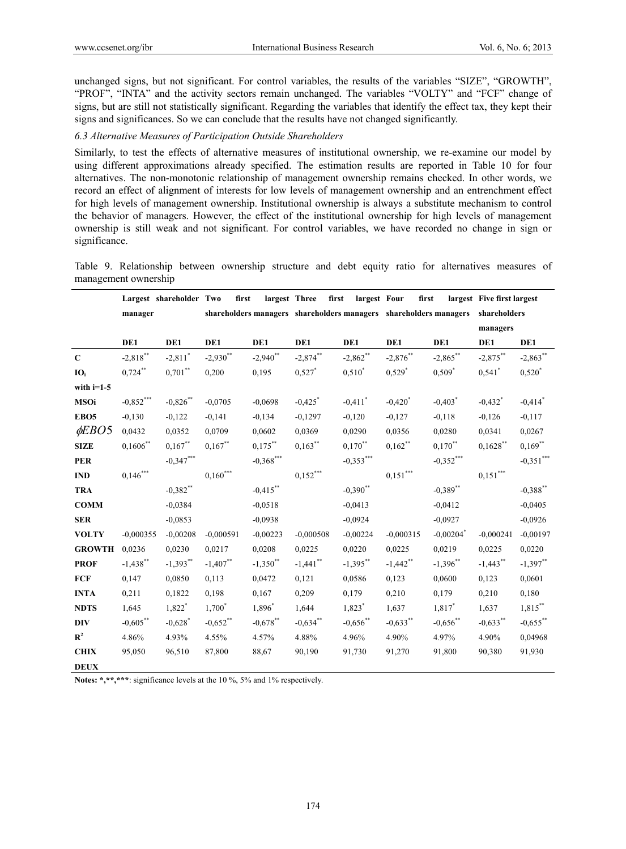unchanged signs, but not significant. For control variables, the results of the variables "SIZE", "GROWTH", "PROF", "INTA" and the activity sectors remain unchanged. The variables "VOLTY" and "FCF" change of signs, but are still not statistically significant. Regarding the variables that identify the effect tax, they kept their signs and significances. So we can conclude that the results have not changed significantly.

#### *6.3 Alternative Measures of Participation Outside Shareholders*

Similarly, to test the effects of alternative measures of institutional ownership, we re-examine our model by using different approximations already specified. The estimation results are reported in Table 10 for four alternatives. The non-monotonic relationship of management ownership remains checked. In other words, we record an effect of alignment of interests for low levels of management ownership and an entrenchment effect for high levels of management ownership. Institutional ownership is always a substitute mechanism to control the behavior of managers. However, the effect of the institutional ownership for high levels of management ownership is still weak and not significant. For control variables, we have recorded no change in sign or significance.

Table 9. Relationship between ownership structure and debt equity ratio for alternatives measures of management ownership

|                  | Largest shareholder Two |                       | first       | largest Three | first                    | largest Four          | first                                                             |                         | largest Five first largest |                       |
|------------------|-------------------------|-----------------------|-------------|---------------|--------------------------|-----------------------|-------------------------------------------------------------------|-------------------------|----------------------------|-----------------------|
|                  | manager                 |                       |             |               |                          |                       | shareholders managers shareholders managers shareholders managers |                         | shareholders               |                       |
|                  |                         |                       |             |               |                          |                       |                                                                   |                         | managers                   |                       |
|                  | DE1                     | DE1                   | DE1         | DE1           | DE1                      | DE1                   | DE1                                                               | DE1                     | DE1                        | DE1                   |
| $\mathbf C$      | $-2,818$ **             | $-2,811$ <sup>*</sup> | $-2,930$ ** | $-2,940$ **   | $-2,874***$              | $-2,862$ **           | $-2,876***$                                                       | $-2,865***$             | $-2,875***$                | $-2,863***$           |
| IO <sub>i</sub>  | $0,724**$               | $0,701**$             | 0,200       | 0,195         | $0,527$ *                | $0,510^*$             | $0,529$ <sup>*</sup>                                              | $0,509^*$               | $0,541$ <sup>*</sup>       | $0,520^*$             |
| with $i=1-5$     |                         |                       |             |               |                          |                       |                                                                   |                         |                            |                       |
| <b>MSOi</b>      | $\textbf{-0,852}^{***}$ | $-0,826$ **           | $-0,0705$   | $-0.0698$     | $-0,425$ <sup>*</sup>    | $-0,411$ <sup>*</sup> | $-0,420^*$                                                        | $-0,403$ <sup>*</sup>   | $-0,432$ <sup>*</sup>      | $-0,414$ <sup>*</sup> |
| EBO <sub>5</sub> | $-0,130$                | $-0,122$              | $-0,141$    | $-0.134$      | $-0,1297$                | $-0,120$              | $-0,127$                                                          | $-0.118$                | $-0,126$                   | $-0,117$              |
| $\phi EBO5$      | 0,0432                  | 0,0352                | 0,0709      | 0,0602        | 0,0369                   | 0,0290                | 0,0356                                                            | 0,0280                  | 0.0341                     | 0,0267                |
| <b>SIZE</b>      | $0,1606$ **             | $0,167$ **            | $0,167$ **  | $0,175***$    | $0,163***$               | $0,170^{**}$          | $0,162$ **                                                        | $0,170$ <sup>**</sup>   | $0,1628$ **                | $0,169$ **            |
| <b>PER</b>       |                         | $-0,347***$           |             | $-0,368$ ***  |                          | $-0,353***$           |                                                                   | $-0,352***$             |                            | $-0,351***$           |
| <b>IND</b>       | $0{,}146^{***}$         |                       | $0,160***$  |               | $0{,}152^{\ast\ast\ast}$ |                       | $0,\!151^{***}$                                                   |                         | $0,\!151^{***}$            |                       |
| <b>TRA</b>       |                         | $-0,382$ **           |             | $-0,415***$   |                          | $-0,390$ **           |                                                                   | $-0,389$ **             |                            | $-0,388$ **           |
| <b>COMM</b>      |                         | $-0.0384$             |             | $-0.0518$     |                          | $-0,0413$             |                                                                   | $-0.0412$               |                            | $-0.0405$             |
| <b>SER</b>       |                         | $-0,0853$             |             | $-0,0938$     |                          | $-0,0924$             |                                                                   | $-0,0927$               |                            | $-0,0926$             |
| <b>VOLTY</b>     | $-0,000355$             | $-0,00208$            | $-0,000591$ | $-0,00223$    | $-0,000508$              | $-0,00224$            | $-0,000315$                                                       | $-0,00204$ <sup>*</sup> | $-0,000241$                | $-0,00197$            |
| <b>GROWTH</b>    | 0,0236                  | 0,0230                | 0,0217      | 0,0208        | 0,0225                   | 0,0220                | 0,0225                                                            | 0,0219                  | 0,0225                     | 0,0220                |
| <b>PROF</b>      | $-1,438$ **             | $-1,393**$            | $-1,407$ ** | $-1,350$ **   | $-1,441$ **              | $-1,395***$           | $-1,442$ **                                                       | $-1,396**$              | $-1,443**$                 | $-1,397**$            |
| <b>FCF</b>       | 0,147                   | 0,0850                | 0,113       | 0,0472        | 0,121                    | 0,0586                | 0,123                                                             | 0,0600                  | 0,123                      | 0,0601                |
| <b>INTA</b>      | 0,211                   | 0,1822                | 0,198       | 0,167         | 0,209                    | 0,179                 | 0,210                                                             | 0,179                   | 0,210                      | 0,180                 |
| <b>NDTS</b>      | 1,645                   | $1,822$ <sup>*</sup>  | $1,700^*$   | 1,896*        | 1,644                    | $1,823$ <sup>*</sup>  | 1,637                                                             | $1,817$ *               | 1,637                      | $1,815***$            |
| <b>DIV</b>       | $-0,605$ **             | $-0,628$ <sup>*</sup> | $-0,652$ ** | $-0,678$ **   | $-0,634$ **              | $-0,656$ **           | $-0,633$ **                                                       | $-0,656$ **             | $-0,633$ **                | $-0,655$ **           |
| $\mathbf{R}^2$   | 4.86%                   | 4.93%                 | 4.55%       | 4.57%         | 4.88%                    | 4.96%                 | 4.90%                                                             | 4.97%                   | 4.90%                      | 0,04968               |
| <b>CHIX</b>      | 95,050                  | 96,510                | 87,800      | 88,67         | 90,190                   | 91,730                | 91,270                                                            | 91,800                  | 90,380                     | 91,930                |
| <b>DEUX</b>      |                         |                       |             |               |                          |                       |                                                                   |                         |                            |                       |

**Notes: \*,\*\*,\*\*\***: significance levels at the 10 %, 5% and 1% respectively.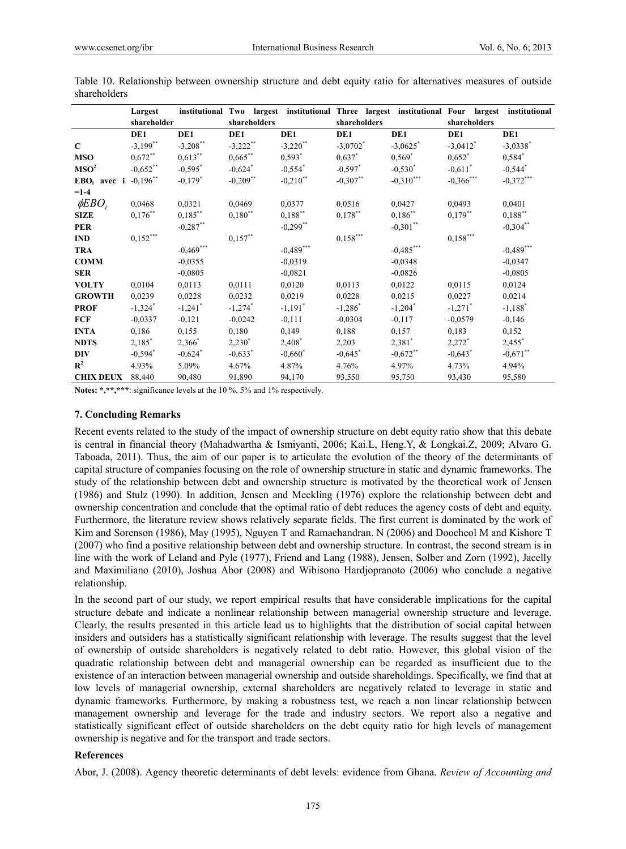|                            | Largest               |                       |                       |                       |                        | institutional Two largest institutional Three largest institutional Four largest |                        | institutional          |
|----------------------------|-----------------------|-----------------------|-----------------------|-----------------------|------------------------|----------------------------------------------------------------------------------|------------------------|------------------------|
|                            | shareholder           |                       | shareholders          |                       | shareholders           |                                                                                  | shareholders           |                        |
|                            | DE1                   | DE1                   | DE1                   | DE1                   | DE1                    | DE1                                                                              | DE1                    | DE1                    |
| $\mathbf C$                | $-3,199$ **           | $-3,208$ **           | $-3,222$ **           | $-3,220$ **           | $-3,0702$ <sup>*</sup> | $-3,0625$ *                                                                      | $-3,0412$ <sup>*</sup> | $-3,0338$ <sup>*</sup> |
| <b>MSO</b>                 | $0,672$ **            | $0,613***$            | $0,665$ **            | $0,593$ <sup>*</sup>  | $0.637^*$              | $0.569*$                                                                         | $0,652^*$              | $0,584$ *              |
| MSO <sup>2</sup>           | $-0,652$ **           | $-0,595$ *            | $-0,624$ <sup>*</sup> | $-0,554$ *            | $-0,597$ *             | $-0,530^*$                                                                       | $-0,611^*$             | $-0,544$ <sup>*</sup>  |
| $EBO_i$ avec i $-0,196$ ** |                       | $-0,179^*$            | $-0,209$ **           | $-0,210$ **           | $-0,307***$            | $-0,310***$                                                                      | $-0,366$ ***           | $-0,372***$            |
| $=1-4$                     |                       |                       |                       |                       |                        |                                                                                  |                        |                        |
| $\phi EBO$                 | 0,0468                | 0,0321                | 0,0469                | 0,0377                | 0.0516                 | 0,0427                                                                           | 0,0493                 | 0,0401                 |
| <b>SIZE</b>                | $0,176$ **            | $0,185***$            | $0,180^{**}$          | $0,188***$            | $0,178***$             | $0,186^{**}$                                                                     | $0,179***$             | $0,188$ **             |
| <b>PER</b>                 |                       | $-0,287$ **           |                       | $-0,299$ **           |                        | $-0,301$ **                                                                      |                        | $-0,304$ **            |
| <b>IND</b>                 | $0,152***$            |                       | $0,157***$            |                       | $0,158***$             |                                                                                  | $0,158***$             |                        |
| <b>TRA</b>                 |                       | $-0,469***$           |                       | $-0,489***$           |                        | $-0,485***$                                                                      |                        | $-0,489***$            |
| <b>COMM</b>                |                       | $-0.0355$             |                       | $-0.0319$             |                        | $-0.0348$                                                                        |                        | $-0.0347$              |
| <b>SER</b>                 |                       | $-0,0805$             |                       | $-0.0821$             |                        | $-0.0826$                                                                        |                        | $-0.0805$              |
| <b>VOLTY</b>               | 0,0104                | 0,0113                | 0,0111                | 0,0120                | 0,0113                 | 0,0122                                                                           | 0,0115                 | 0,0124                 |
| <b>GROWTH</b>              | 0,0239                | 0,0228                | 0,0232                | 0,0219                | 0,0228                 | 0,0215                                                                           | 0,0227                 | 0,0214                 |
| <b>PROF</b>                | $-1,324$ <sup>*</sup> | $-1,241$ <sup>*</sup> | $-1,274$ <sup>*</sup> | $-1,191$ <sup>*</sup> | $-1,286^*$             | $-1,204$ <sup>*</sup>                                                            | $-1,271$ <sup>*</sup>  | $-1,188$ <sup>*</sup>  |
| <b>FCF</b>                 | $-0,0337$             | $-0,121$              | $-0,0242$             | $-0,111$              | $-0,0304$              | $-0,117$                                                                         | $-0,0579$              | $-0,146$               |
| <b>INTA</b>                | 0,186                 | 0,155                 | 0,180                 | 0,149                 | 0,188                  | 0,157                                                                            | 0,183                  | 0,152                  |
| <b>NDTS</b>                | $2,185^*$             | $2,366^*$             | $2,230^*$             | $2,408^*$             | 2,203                  | $2,381$ <sup>*</sup>                                                             | $2,272^*$              | $2,455$ <sup>*</sup>   |
| <b>DIV</b>                 | $-0,594$ <sup>*</sup> | $-0,624$ <sup>*</sup> | $-0,633*$             | $-0,660^*$            | $-0,645$ *             | $-0,672$ **                                                                      | $-0,643$ <sup>*</sup>  | $-0,671$ **            |
| $\mathbf{R}^2$             | 4.93%                 | 5.09%                 | 4.67%                 | 4.87%                 | 4.76%                  | 4.97%                                                                            | 4.73%                  | 4.94%                  |
| <b>CHIX DEUX</b>           | 88,440                | 90,480                | 91,890                | 94,170                | 93,550                 | 95,750                                                                           | 93,430                 | 95,580                 |

Table 10. Relationship between ownership structure and debt equity ratio for alternatives measures of outside shareholders

**Notes: \*,\*\*,\*\*\***: significance levels at the 10 %, 5% and 1% respectively.

#### **7. Concluding Remarks**

Recent events related to the study of the impact of ownership structure on debt equity ratio show that this debate is central in financial theory (Mahadwartha & Ismiyanti, 2006; Kai.L, Heng.Y, & Longkai.Z, 2009; Alvaro G. Taboada, 2011). Thus, the aim of our paper is to articulate the evolution of the theory of the determinants of capital structure of companies focusing on the role of ownership structure in static and dynamic frameworks. The study of the relationship between debt and ownership structure is motivated by the theoretical work of Jensen (1986) and Stulz (1990). In addition, Jensen and Meckling (1976) explore the relationship between debt and ownership concentration and conclude that the optimal ratio of debt reduces the agency costs of debt and equity. Furthermore, the literature review shows relatively separate fields. The first current is dominated by the work of Kim and Sorenson (1986), May (1995), Nguyen T and Ramachandran. N (2006) and Doocheol M and Kishore T (2007) who find a positive relationship between debt and ownership structure. In contrast, the second stream is in line with the work of Leland and Pyle (1977), Friend and Lang (1988), Jensen, Solber and Zorn (1992), Jacelly and Maximiliano (2010), Joshua Abor (2008) and Wibisono Hardjopranoto (2006) who conclude a negative relationship.

In the second part of our study, we report empirical results that have considerable implications for the capital structure debate and indicate a nonlinear relationship between managerial ownership structure and leverage. Clearly, the results presented in this article lead us to highlights that the distribution of social capital between insiders and outsiders has a statistically significant relationship with leverage. The results suggest that the level of ownership of outside shareholders is negatively related to debt ratio. However, this global vision of the quadratic relationship between debt and managerial ownership can be regarded as insufficient due to the existence of an interaction between managerial ownership and outside shareholdings. Specifically, we find that at low levels of managerial ownership, external shareholders are negatively related to leverage in static and dynamic frameworks. Furthermore, by making a robustness test, we reach a non linear relationship between management ownership and leverage for the trade and industry sectors. We report also a negative and statistically significant effect of outside shareholders on the debt equity ratio for high levels of management ownership is negative and for the transport and trade sectors.

#### **References**

Abor, J. (2008). Agency theoretic determinants of debt levels: evidence from Ghana. *Review of Accounting and*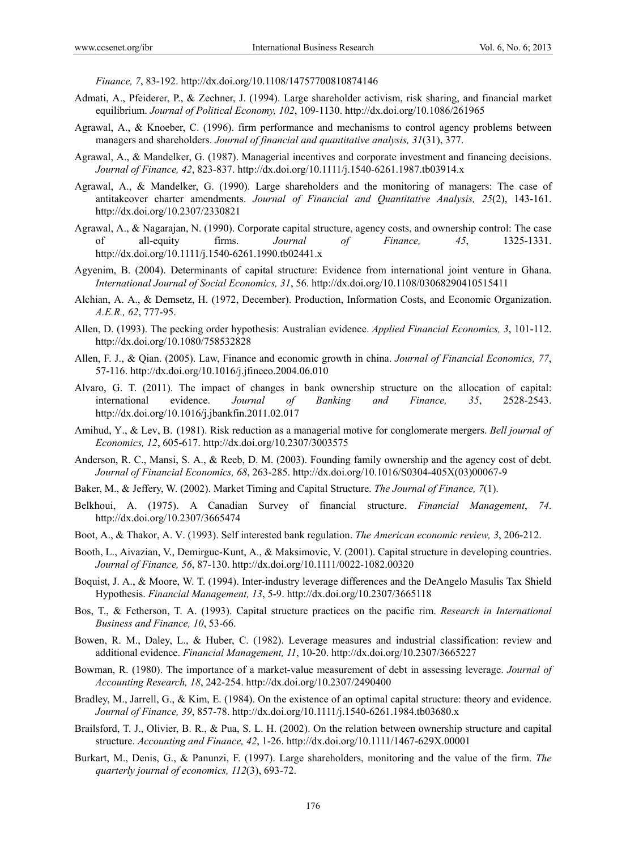*Finance, 7*, 83-192. http://dx.doi.org/10.1108/14757700810874146

- Admati, A., Pfeiderer, P., & Zechner, J. (1994). Large shareholder activism, risk sharing, and financial market equilibrium. *Journal of Political Economy, 102*, 109-1130. http://dx.doi.org/10.1086/261965
- Agrawal, A., & Knoeber, C. (1996). firm performance and mechanisms to control agency problems between managers and shareholders. *Journal of financial and quantitative analysis, 31*(31), 377.
- Agrawal, A., & Mandelker, G. (1987). Managerial incentives and corporate investment and financing decisions. *Journal of Finance, 42*, 823-837. http://dx.doi.org/10.1111/j.1540-6261.1987.tb03914.x
- Agrawal, A., & Mandelker, G. (1990). Large shareholders and the monitoring of managers: The case of antitakeover charter amendments. *Journal of Financial and Quantitative Analysis, 25*(2), 143-161. http://dx.doi.org/10.2307/2330821
- Agrawal, A., & Nagarajan, N. (1990). Corporate capital structure, agency costs, and ownership control: The case of all-equity firms. *Journal of Finance, 45*, 1325-1331. http://dx.doi.org/10.1111/j.1540-6261.1990.tb02441.x
- Agyenim, B. (2004). Determinants of capital structure: Evidence from international joint venture in Ghana. *International Journal of Social Economics, 31*, 56. http://dx.doi.org/10.1108/03068290410515411
- Alchian, A. A., & Demsetz, H. (1972, December). Production, Information Costs, and Economic Organization. *A.E.R., 62*, 777-95.
- Allen, D. (1993). The pecking order hypothesis: Australian evidence. *Applied Financial Economics, 3*, 101-112. http://dx.doi.org/10.1080/758532828
- Allen, F. J., & Qian. (2005). Law, Finance and economic growth in china. *Journal of Financial Economics, 77*, 57-116. http://dx.doi.org/10.1016/j.jfineco.2004.06.010
- Alvaro, G. T. (2011). The impact of changes in bank ownership structure on the allocation of capital: international evidence. *Journal of Banking and Finance, 35*, 2528-2543. http://dx.doi.org/10.1016/j.jbankfin.2011.02.017
- Amihud, Y., & Lev, B. (1981). Risk reduction as a managerial motive for conglomerate mergers. *Bell journal of Economics, 12*, 605-617. http://dx.doi.org/10.2307/3003575
- Anderson, R. C., Mansi, S. A., & Reeb, D. M. (2003). Founding family ownership and the agency cost of debt. *Journal of Financial Economics, 68*, 263-285. http://dx.doi.org/10.1016/S0304-405X(03)00067-9
- Baker, M., & Jeffery, W. (2002). Market Timing and Capital Structure. *The Journal of Finance, 7*(1).
- Belkhoui, A. (1975). A Canadian Survey of financial structure. *Financial Management*, *74*. http://dx.doi.org/10.2307/3665474
- Boot, A., & Thakor, A. V. (1993). Self interested bank regulation. *The American economic review, 3*, 206-212.
- Booth, L., Aivazian, V., Demirguc-Kunt, A., & Maksimovic, V. (2001). Capital structure in developing countries. *Journal of Finance, 56*, 87-130. http://dx.doi.org/10.1111/0022-1082.00320
- Boquist, J. A., & Moore, W. T. (1994). Inter-industry leverage differences and the DeAngelo Masulis Tax Shield Hypothesis. *Financial Management, 13*, 5-9. http://dx.doi.org/10.2307/3665118
- Bos, T., & Fetherson, T. A. (1993). Capital structure practices on the pacific rim. *Research in International Business and Finance, 10*, 53-66.
- Bowen, R. M., Daley, L., & Huber, C. (1982). Leverage measures and industrial classification: review and additional evidence. *Financial Management, 11*, 10-20. http://dx.doi.org/10.2307/3665227
- Bowman, R. (1980). The importance of a market-value measurement of debt in assessing leverage. *Journal of Accounting Research, 18*, 242-254. http://dx.doi.org/10.2307/2490400
- Bradley, M., Jarrell, G., & Kim, E. (1984). On the existence of an optimal capital structure: theory and evidence. *Journal of Finance, 39*, 857-78. http://dx.doi.org/10.1111/j.1540-6261.1984.tb03680.x
- Brailsford, T. J., Olivier, B. R., & Pua, S. L. H. (2002). On the relation between ownership structure and capital structure. *Accounting and Finance, 42*, 1-26. http://dx.doi.org/10.1111/1467-629X.00001
- Burkart, M., Denis, G., & Panunzi, F. (1997). Large shareholders, monitoring and the value of the firm. *The quarterly journal of economics, 112*(3), 693-72.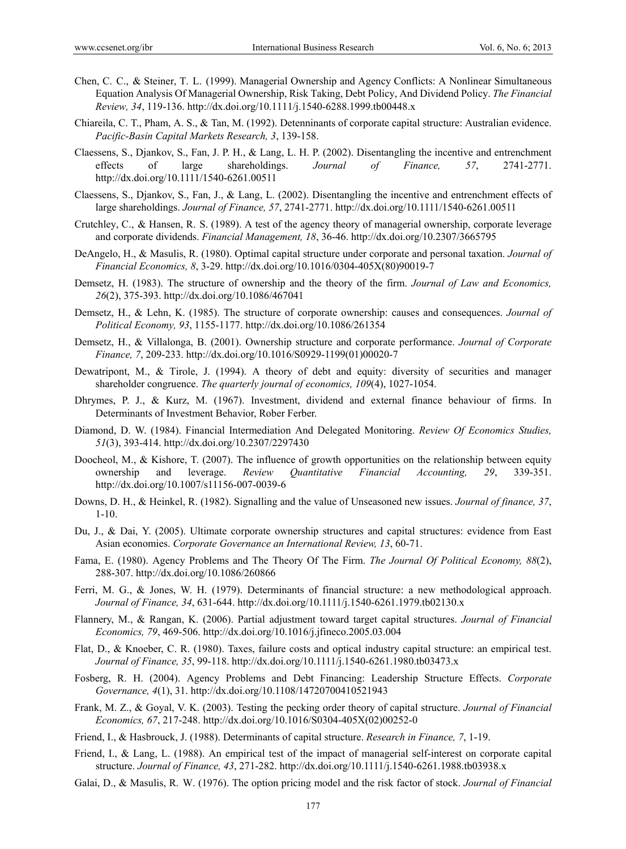- Chen, C. C., & Steiner, T. L. (1999). Managerial Ownership and Agency Conflicts: A Nonlinear Simultaneous Equation Analysis Of Managerial Ownership, Risk Taking, Debt Policy, And Dividend Policy. *The Financial Review, 34*, 119-136. http://dx.doi.org/10.1111/j.1540-6288.1999.tb00448.x
- Chiareila, C. T., Pham, A. S., & Tan, M. (1992). Detenninants of corporate capital structure: Australian evidence. *Pacific-Basin Capital Markets Research, 3*, 139-158.
- Claessens, S., Djankov, S., Fan, J. P. H., & Lang, L. H. P. (2002). Disentangling the incentive and entrenchment effects of large shareholdings. *Journal of Finance, 57*, 2741-2771. http://dx.doi.org/10.1111/1540-6261.00511
- Claessens, S., Djankov, S., Fan, J., & Lang, L. (2002). Disentangling the incentive and entrenchment effects of large shareholdings. *Journal of Finance, 57*, 2741-2771. http://dx.doi.org/10.1111/1540-6261.00511
- Crutchley, C., & Hansen, R. S. (1989). A test of the agency theory of managerial ownership, corporate leverage and corporate dividends. *Financial Management, 18*, 36-46. http://dx.doi.org/10.2307/3665795
- DeAngelo, H., & Masulis, R. (1980). Optimal capital structure under corporate and personal taxation. *Journal of Financial Economics, 8*, 3-29. http://dx.doi.org/10.1016/0304-405X(80)90019-7
- Demsetz, H. (1983). The structure of ownership and the theory of the firm. *Journal of Law and Economics, 26*(2), 375-393. http://dx.doi.org/10.1086/467041
- Demsetz, H., & Lehn, K. (1985). The structure of corporate ownership: causes and consequences. *Journal of Political Economy, 93*, 1155-1177. http://dx.doi.org/10.1086/261354
- Demsetz, H., & Villalonga, B. (2001). Ownership structure and corporate performance. *Journal of Corporate Finance, 7*, 209-233. http://dx.doi.org/10.1016/S0929-1199(01)00020-7
- Dewatripont, M., & Tirole, J. (1994). A theory of debt and equity: diversity of securities and manager shareholder congruence. *The quarterly journal of economics, 109*(4), 1027-1054.
- Dhrymes, P. J., & Kurz, M. (1967). Investment, dividend and external finance behaviour of firms. In Determinants of Investment Behavior, Rober Ferber.
- Diamond, D. W. (1984). Financial Intermediation And Delegated Monitoring. *Review Of Economics Studies, 51*(3), 393-414. http://dx.doi.org/10.2307/2297430
- Doocheol, M., & Kishore, T. (2007). The influence of growth opportunities on the relationship between equity ownership and leverage. *Review Quantitative Financial Accounting, 29*, 339-351. http://dx.doi.org/10.1007/s11156-007-0039-6
- Downs, D. H., & Heinkel, R. (1982). Signalling and the value of Unseasoned new issues. *Journal of finance, 37*, 1-10.
- Du, J., & Dai, Y. (2005). Ultimate corporate ownership structures and capital structures: evidence from East Asian economies. *Corporate Governance an International Review, 13*, 60-71.
- Fama, E. (1980). Agency Problems and The Theory Of The Firm. *The Journal Of Political Economy, 88*(2), 288-307. http://dx.doi.org/10.1086/260866
- Ferri, M. G., & Jones, W. H. (1979). Determinants of financial structure: a new methodological approach. *Journal of Finance, 34*, 631-644. http://dx.doi.org/10.1111/j.1540-6261.1979.tb02130.x
- Flannery, M., & Rangan, K. (2006). Partial adjustment toward target capital structures. *Journal of Financial Economics, 79*, 469-506. http://dx.doi.org/10.1016/j.jfineco.2005.03.004
- Flat, D., & Knoeber, C. R. (1980). Taxes, failure costs and optical industry capital structure: an empirical test. *Journal of Finance, 35*, 99-118. http://dx.doi.org/10.1111/j.1540-6261.1980.tb03473.x
- Fosberg, R. H. (2004). Agency Problems and Debt Financing: Leadership Structure Effects. *Corporate Governance, 4*(1), 31. http://dx.doi.org/10.1108/14720700410521943
- Frank, M. Z., & Goyal, V. K. (2003). Testing the pecking order theory of capital structure. *Journal of Financial Economics, 67*, 217-248. http://dx.doi.org/10.1016/S0304-405X(02)00252-0
- Friend, I., & Hasbrouck, J. (1988). Determinants of capital structure. *Research in Finance, 7*, 1-19.
- Friend, I., & Lang, L. (1988). An empirical test of the impact of managerial self-interest on corporate capital structure. *Journal of Finance, 43*, 271-282. http://dx.doi.org/10.1111/j.1540-6261.1988.tb03938.x
- Galai, D., & Masulis, R. W. (1976). The option pricing model and the risk factor of stock. *Journal of Financial*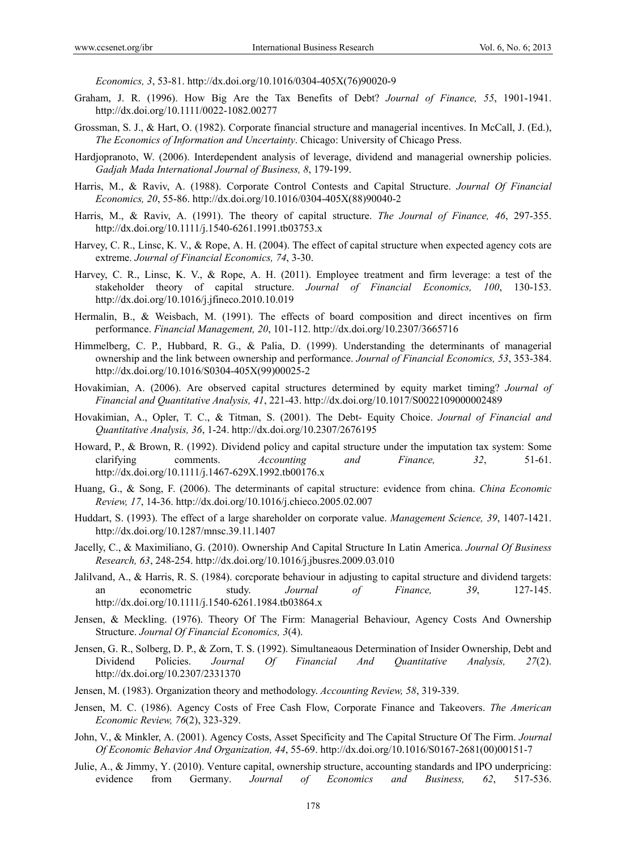*Economics, 3*, 53-81. http://dx.doi.org/10.1016/0304-405X(76)90020-9

- Graham, J. R. (1996). How Big Are the Tax Benefits of Debt? *Journal of Finance, 55*, 1901-1941. http://dx.doi.org/10.1111/0022-1082.00277
- Grossman, S. J., & Hart, O. (1982). Corporate financial structure and managerial incentives. In McCall, J. (Ed.), *The Economics of Information and Uncertainty*. Chicago: University of Chicago Press.
- Hardjopranoto, W. (2006). Interdependent analysis of leverage, dividend and managerial ownership policies. *Gadjah Mada International Journal of Business, 8*, 179-199.
- Harris, M., & Raviv, A. (1988). Corporate Control Contests and Capital Structure. *Journal Of Financial Economics, 20*, 55-86. http://dx.doi.org/10.1016/0304-405X(88)90040-2
- Harris, M., & Raviv, A. (1991). The theory of capital structure. *The Journal of Finance, 46*, 297-355. http://dx.doi.org/10.1111/j.1540-6261.1991.tb03753.x
- Harvey, C. R., Linsc, K. V., & Rope, A. H. (2004). The effect of capital structure when expected agency cots are extreme. *Journal of Financial Economics, 74*, 3-30.
- Harvey, C. R., Linsc, K. V., & Rope, A. H. (2011). Employee treatment and firm leverage: a test of the stakeholder theory of capital structure. *Journal of Financial Economics, 100*, 130-153. http://dx.doi.org/10.1016/j.jfineco.2010.10.019
- Hermalin, B., & Weisbach, M. (1991). The effects of board composition and direct incentives on firm performance. *Financial Management, 20*, 101-112. http://dx.doi.org/10.2307/3665716
- Himmelberg, C. P., Hubbard, R. G., & Palia, D. (1999). Understanding the determinants of managerial ownership and the link between ownership and performance. *Journal of Financial Economics, 53*, 353-384. http://dx.doi.org/10.1016/S0304-405X(99)00025-2
- Hovakimian, A. (2006). Are observed capital structures determined by equity market timing? *Journal of Financial and Quantitative Analysis, 41*, 221-43. http://dx.doi.org/10.1017/S0022109000002489
- Hovakimian, A., Opler, T. C., & Titman, S. (2001). The Debt- Equity Choice. *Journal of Financial and Quantitative Analysis, 36*, 1-24. http://dx.doi.org/10.2307/2676195
- Howard, P., & Brown, R. (1992). Dividend policy and capital structure under the imputation tax system: Some clarifying comments. *Accounting and Finance, 32*, 51-61. http://dx.doi.org/10.1111/j.1467-629X.1992.tb00176.x
- Huang, G., & Song, F. (2006). The determinants of capital structure: evidence from china. *China Economic Review, 17*, 14-36. http://dx.doi.org/10.1016/j.chieco.2005.02.007
- Huddart, S. (1993). The effect of a large shareholder on corporate value. *Management Science, 39*, 1407-1421. http://dx.doi.org/10.1287/mnsc.39.11.1407
- Jacelly, C., & Maximiliano, G. (2010). Ownership And Capital Structure In Latin America. *Journal Of Business Research, 63*, 248-254. http://dx.doi.org/10.1016/j.jbusres.2009.03.010
- Jalilvand, A., & Harris, R. S. (1984). corcporate behaviour in adjusting to capital structure and dividend targets: an econometric study. *Journal of Finance, 39*, 127-145. http://dx.doi.org/10.1111/j.1540-6261.1984.tb03864.x
- Jensen, & Meckling. (1976). Theory Of The Firm: Managerial Behaviour, Agency Costs And Ownership Structure. *Journal Of Financial Economics, 3*(4).
- Jensen, G. R., Solberg, D. P., & Zorn, T. S. (1992). Simultaneaous Determination of Insider Ownership, Debt and Dividend Policies. *Journal Of Financial And Quantitative Analysis, 27*(2). http://dx.doi.org/10.2307/2331370
- Jensen, M. (1983). Organization theory and methodology. *Accounting Review, 58*, 319-339.
- Jensen, M. C. (1986). Agency Costs of Free Cash Flow, Corporate Finance and Takeovers. *The American Economic Review, 76*(2), 323-329.
- John, V., & Minkler, A. (2001). Agency Costs, Asset Specificity and The Capital Structure Of The Firm. *Journal Of Economic Behavior And Organization, 44*, 55-69. http://dx.doi.org/10.1016/S0167-2681(00)00151-7
- Julie, A., & Jimmy, Y. (2010). Venture capital, ownership structure, accounting standards and IPO underpricing: evidence from Germany. *Journal of Economics and Business, 62*, 517-536.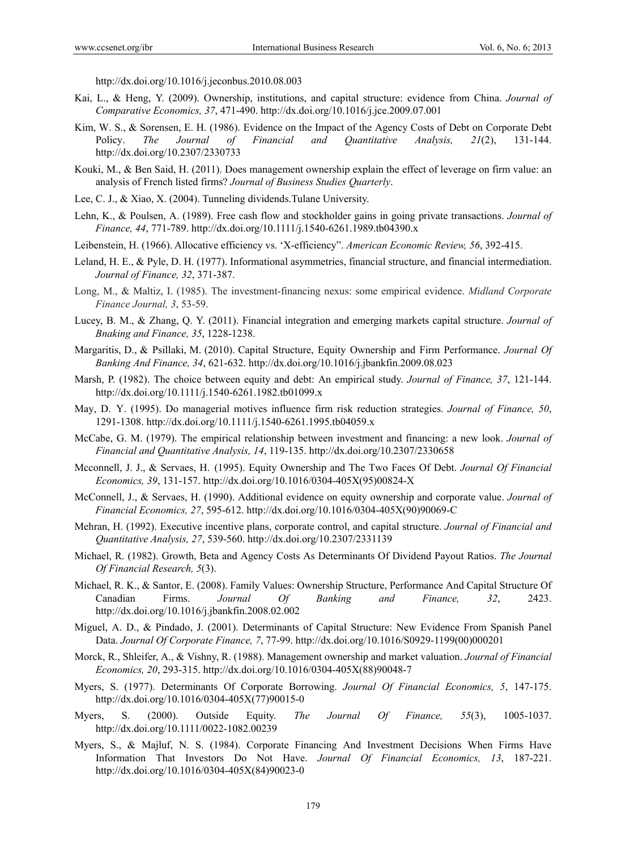http://dx.doi.org/10.1016/j.jeconbus.2010.08.003

- Kai, L., & Heng, Y. (2009). Ownership, institutions, and capital structure: evidence from China. *Journal of Comparative Economics, 37*, 471-490. http://dx.doi.org/10.1016/j.jce.2009.07.001
- Kim, W. S., & Sorensen, E. H. (1986). Evidence on the Impact of the Agency Costs of Debt on Corporate Debt Policy. *The Journal of Financial and Quantitative Analysis, 21*(2), 131-144. http://dx.doi.org/10.2307/2330733
- Kouki, M., & Ben Said, H. (2011). Does management ownership explain the effect of leverage on firm value: an analysis of French listed firms? *Journal of Business Studies Quarterly*.
- Lee, C. J., & Xiao, X. (2004). Tunneling dividends.Tulane University.
- Lehn, K., & Poulsen, A. (1989). Free cash flow and stockholder gains in going private transactions. *Journal of Finance, 44*, 771-789. http://dx.doi.org/10.1111/j.1540-6261.1989.tb04390.x
- Leibenstein, H. (1966). Allocative efficiency vs. 'X-efficiency". *American Economic Review, 56*, 392-415.
- Leland, H. E., & Pyle, D. H. (1977). Informational asymmetries, financial structure, and financial intermediation. *Journal of Finance, 32*, 371-387.
- Long, M., & Maltiz, I. (1985). The investment-financing nexus: some empirical evidence. *Midland Corporate Finance Journal, 3*, 53-59.
- Lucey, B. M., & Zhang, Q. Y. (2011). Financial integration and emerging markets capital structure. *Journal of Bnaking and Finance, 35*, 1228-1238.
- Margaritis, D., & Psillaki, M. (2010). Capital Structure, Equity Ownership and Firm Performance. *Journal Of Banking And Finance, 34*, 621-632. http://dx.doi.org/10.1016/j.jbankfin.2009.08.023
- Marsh, P. (1982). The choice between equity and debt: An empirical study. *Journal of Finance, 37*, 121-144. http://dx.doi.org/10.1111/j.1540-6261.1982.tb01099.x
- May, D. Y. (1995). Do managerial motives influence firm risk reduction strategies. *Journal of Finance, 50*, 1291-1308. http://dx.doi.org/10.1111/j.1540-6261.1995.tb04059.x
- McCabe, G. M. (1979). The empirical relationship between investment and financing: a new look. *Journal of Financial and Quantitative Analysis, 14*, 119-135. http://dx.doi.org/10.2307/2330658
- Mcconnell, J. J., & Servaes, H. (1995). Equity Ownership and The Two Faces Of Debt. *Journal Of Financial Economics, 39*, 131-157. http://dx.doi.org/10.1016/0304-405X(95)00824-X
- McConnell, J., & Servaes, H. (1990). Additional evidence on equity ownership and corporate value. *Journal of Financial Economics, 27*, 595-612. http://dx.doi.org/10.1016/0304-405X(90)90069-C
- Mehran, H. (1992). Executive incentive plans, corporate control, and capital structure. *Journal of Financial and Quantitative Analysis, 27*, 539-560. http://dx.doi.org/10.2307/2331139
- Michael, R. (1982). Growth, Beta and Agency Costs As Determinants Of Dividend Payout Ratios. *The Journal Of Financial Research, 5*(3).
- Michael, R. K., & Santor, E. (2008). Family Values: Ownership Structure, Performance And Capital Structure Of Canadian Firms. *Journal Of Banking and Finance, 32*, 2423. http://dx.doi.org/10.1016/j.jbankfin.2008.02.002
- Miguel, A. D., & Pindado, J. (2001). Determinants of Capital Structure: New Evidence From Spanish Panel Data. *Journal Of Corporate Finance, 7*, 77-99. http://dx.doi.org/10.1016/S0929-1199(00)000201
- Morck, R., Shleifer, A., & Vishny, R. (1988). Management ownership and market valuation. *Journal of Financial Economics, 20*, 293-315. http://dx.doi.org/10.1016/0304-405X(88)90048-7
- Myers, S. (1977). Determinants Of Corporate Borrowing. *Journal Of Financial Economics, 5*, 147-175. http://dx.doi.org/10.1016/0304-405X(77)90015-0
- Myers, S. (2000). Outside Equity. *The Journal Of Finance, 55*(3), 1005-1037. http://dx.doi.org/10.1111/0022-1082.00239
- Myers, S., & Majluf, N. S. (1984). Corporate Financing And Investment Decisions When Firms Have Information That Investors Do Not Have. *Journal Of Financial Economics, 13*, 187-221. http://dx.doi.org/10.1016/0304-405X(84)90023-0